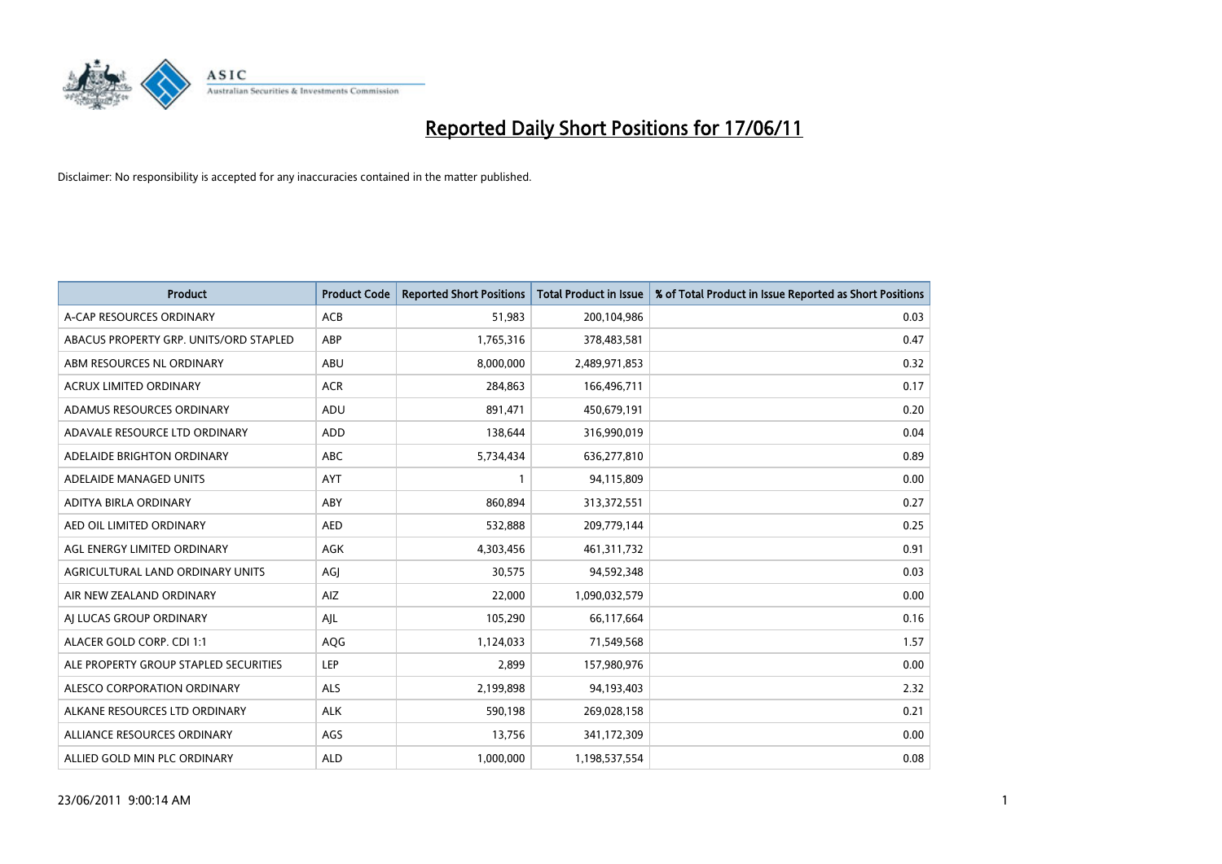

| <b>Product</b>                         | <b>Product Code</b> | <b>Reported Short Positions</b> | Total Product in Issue | % of Total Product in Issue Reported as Short Positions |
|----------------------------------------|---------------------|---------------------------------|------------------------|---------------------------------------------------------|
| A-CAP RESOURCES ORDINARY               | <b>ACB</b>          | 51,983                          | 200,104,986            | 0.03                                                    |
| ABACUS PROPERTY GRP. UNITS/ORD STAPLED | ABP                 | 1,765,316                       | 378,483,581            | 0.47                                                    |
| ABM RESOURCES NL ORDINARY              | ABU                 | 8,000,000                       | 2,489,971,853          | 0.32                                                    |
| ACRUX LIMITED ORDINARY                 | <b>ACR</b>          | 284,863                         | 166,496,711            | 0.17                                                    |
| ADAMUS RESOURCES ORDINARY              | ADU                 | 891,471                         | 450,679,191            | 0.20                                                    |
| ADAVALE RESOURCE LTD ORDINARY          | ADD                 | 138,644                         | 316,990,019            | 0.04                                                    |
| ADELAIDE BRIGHTON ORDINARY             | <b>ABC</b>          | 5,734,434                       | 636,277,810            | 0.89                                                    |
| ADELAIDE MANAGED UNITS                 | <b>AYT</b>          |                                 | 94,115,809             | 0.00                                                    |
| ADITYA BIRLA ORDINARY                  | ABY                 | 860,894                         | 313,372,551            | 0.27                                                    |
| AED OIL LIMITED ORDINARY               | <b>AED</b>          | 532,888                         | 209,779,144            | 0.25                                                    |
| AGL ENERGY LIMITED ORDINARY            | <b>AGK</b>          | 4,303,456                       | 461,311,732            | 0.91                                                    |
| AGRICULTURAL LAND ORDINARY UNITS       | AGJ                 | 30,575                          | 94,592,348             | 0.03                                                    |
| AIR NEW ZEALAND ORDINARY               | AIZ                 | 22,000                          | 1,090,032,579          | 0.00                                                    |
| AI LUCAS GROUP ORDINARY                | AJL                 | 105,290                         | 66,117,664             | 0.16                                                    |
| ALACER GOLD CORP. CDI 1:1              | AQG                 | 1,124,033                       | 71,549,568             | 1.57                                                    |
| ALE PROPERTY GROUP STAPLED SECURITIES  | <b>LEP</b>          | 2,899                           | 157,980,976            | 0.00                                                    |
| ALESCO CORPORATION ORDINARY            | <b>ALS</b>          | 2,199,898                       | 94,193,403             | 2.32                                                    |
| ALKANE RESOURCES LTD ORDINARY          | <b>ALK</b>          | 590,198                         | 269,028,158            | 0.21                                                    |
| ALLIANCE RESOURCES ORDINARY            | AGS                 | 13,756                          | 341,172,309            | 0.00                                                    |
| ALLIED GOLD MIN PLC ORDINARY           | <b>ALD</b>          | 1,000,000                       | 1,198,537,554          | 0.08                                                    |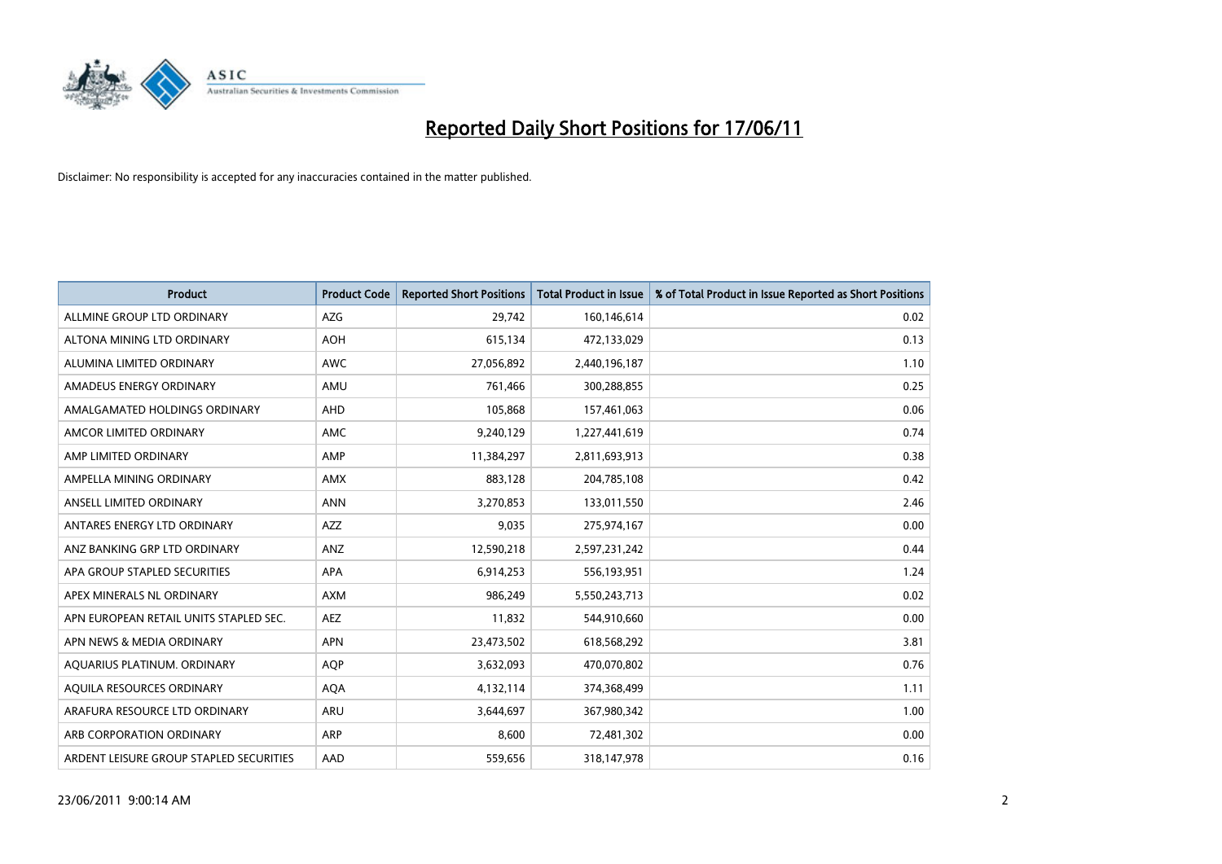

| <b>Product</b>                          | <b>Product Code</b> | <b>Reported Short Positions</b> | <b>Total Product in Issue</b> | % of Total Product in Issue Reported as Short Positions |
|-----------------------------------------|---------------------|---------------------------------|-------------------------------|---------------------------------------------------------|
| ALLMINE GROUP LTD ORDINARY              | <b>AZG</b>          | 29.742                          | 160,146,614                   | 0.02                                                    |
| ALTONA MINING LTD ORDINARY              | <b>AOH</b>          | 615,134                         | 472,133,029                   | 0.13                                                    |
| ALUMINA LIMITED ORDINARY                | <b>AWC</b>          | 27,056,892                      | 2,440,196,187                 | 1.10                                                    |
| AMADEUS ENERGY ORDINARY                 | AMU                 | 761,466                         | 300,288,855                   | 0.25                                                    |
| AMALGAMATED HOLDINGS ORDINARY           | AHD                 | 105,868                         | 157,461,063                   | 0.06                                                    |
| AMCOR LIMITED ORDINARY                  | <b>AMC</b>          | 9,240,129                       | 1,227,441,619                 | 0.74                                                    |
| AMP LIMITED ORDINARY                    | AMP                 | 11,384,297                      | 2,811,693,913                 | 0.38                                                    |
| AMPELLA MINING ORDINARY                 | <b>AMX</b>          | 883,128                         | 204,785,108                   | 0.42                                                    |
| ANSELL LIMITED ORDINARY                 | <b>ANN</b>          | 3,270,853                       | 133,011,550                   | 2.46                                                    |
| ANTARES ENERGY LTD ORDINARY             | <b>AZZ</b>          | 9,035                           | 275,974,167                   | 0.00                                                    |
| ANZ BANKING GRP LTD ORDINARY            | ANZ                 | 12,590,218                      | 2,597,231,242                 | 0.44                                                    |
| APA GROUP STAPLED SECURITIES            | <b>APA</b>          | 6,914,253                       | 556,193,951                   | 1.24                                                    |
| APEX MINERALS NL ORDINARY               | <b>AXM</b>          | 986,249                         | 5,550,243,713                 | 0.02                                                    |
| APN EUROPEAN RETAIL UNITS STAPLED SEC.  | <b>AEZ</b>          | 11,832                          | 544,910,660                   | 0.00                                                    |
| APN NEWS & MEDIA ORDINARY               | <b>APN</b>          | 23,473,502                      | 618,568,292                   | 3.81                                                    |
| AQUARIUS PLATINUM. ORDINARY             | AQP                 | 3,632,093                       | 470,070,802                   | 0.76                                                    |
| AQUILA RESOURCES ORDINARY               | <b>AQA</b>          | 4,132,114                       | 374,368,499                   | 1.11                                                    |
| ARAFURA RESOURCE LTD ORDINARY           | <b>ARU</b>          | 3,644,697                       | 367,980,342                   | 1.00                                                    |
| ARB CORPORATION ORDINARY                | <b>ARP</b>          | 8.600                           | 72,481,302                    | 0.00                                                    |
| ARDENT LEISURE GROUP STAPLED SECURITIES | AAD                 | 559.656                         | 318,147,978                   | 0.16                                                    |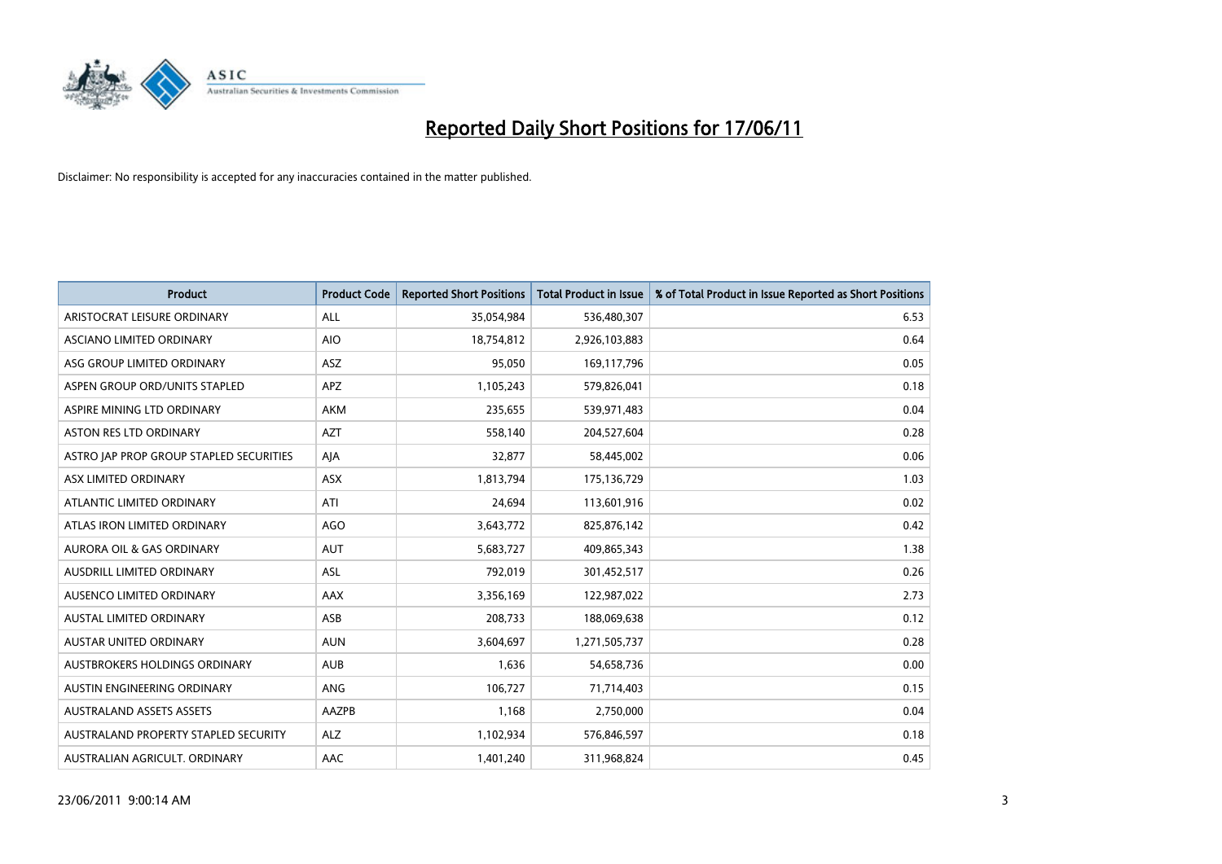

| <b>Product</b>                          | <b>Product Code</b> | <b>Reported Short Positions</b> | Total Product in Issue | % of Total Product in Issue Reported as Short Positions |
|-----------------------------------------|---------------------|---------------------------------|------------------------|---------------------------------------------------------|
| ARISTOCRAT LEISURE ORDINARY             | <b>ALL</b>          | 35,054,984                      | 536,480,307            | 6.53                                                    |
| ASCIANO LIMITED ORDINARY                | <b>AIO</b>          | 18,754,812                      | 2,926,103,883          | 0.64                                                    |
| ASG GROUP LIMITED ORDINARY              | <b>ASZ</b>          | 95.050                          | 169,117,796            | 0.05                                                    |
| ASPEN GROUP ORD/UNITS STAPLED           | <b>APZ</b>          | 1,105,243                       | 579,826,041            | 0.18                                                    |
| ASPIRE MINING LTD ORDINARY              | <b>AKM</b>          | 235,655                         | 539,971,483            | 0.04                                                    |
| <b>ASTON RES LTD ORDINARY</b>           | <b>AZT</b>          | 558,140                         | 204,527,604            | 0.28                                                    |
| ASTRO JAP PROP GROUP STAPLED SECURITIES | AJA                 | 32,877                          | 58,445,002             | 0.06                                                    |
| ASX LIMITED ORDINARY                    | <b>ASX</b>          | 1,813,794                       | 175,136,729            | 1.03                                                    |
| ATLANTIC LIMITED ORDINARY               | ATI                 | 24,694                          | 113,601,916            | 0.02                                                    |
| ATLAS IRON LIMITED ORDINARY             | <b>AGO</b>          | 3,643,772                       | 825,876,142            | 0.42                                                    |
| AURORA OIL & GAS ORDINARY               | <b>AUT</b>          | 5,683,727                       | 409,865,343            | 1.38                                                    |
| AUSDRILL LIMITED ORDINARY               | <b>ASL</b>          | 792,019                         | 301,452,517            | 0.26                                                    |
| AUSENCO LIMITED ORDINARY                | <b>AAX</b>          | 3,356,169                       | 122,987,022            | 2.73                                                    |
| <b>AUSTAL LIMITED ORDINARY</b>          | ASB                 | 208,733                         | 188,069,638            | 0.12                                                    |
| <b>AUSTAR UNITED ORDINARY</b>           | <b>AUN</b>          | 3,604,697                       | 1,271,505,737          | 0.28                                                    |
| AUSTBROKERS HOLDINGS ORDINARY           | <b>AUB</b>          | 1,636                           | 54,658,736             | 0.00                                                    |
| AUSTIN ENGINEERING ORDINARY             | ANG                 | 106,727                         | 71,714,403             | 0.15                                                    |
| <b>AUSTRALAND ASSETS ASSETS</b>         | AAZPB               | 1,168                           | 2,750,000              | 0.04                                                    |
| AUSTRALAND PROPERTY STAPLED SECURITY    | <b>ALZ</b>          | 1,102,934                       | 576,846,597            | 0.18                                                    |
| AUSTRALIAN AGRICULT. ORDINARY           | AAC                 | 1,401,240                       | 311,968,824            | 0.45                                                    |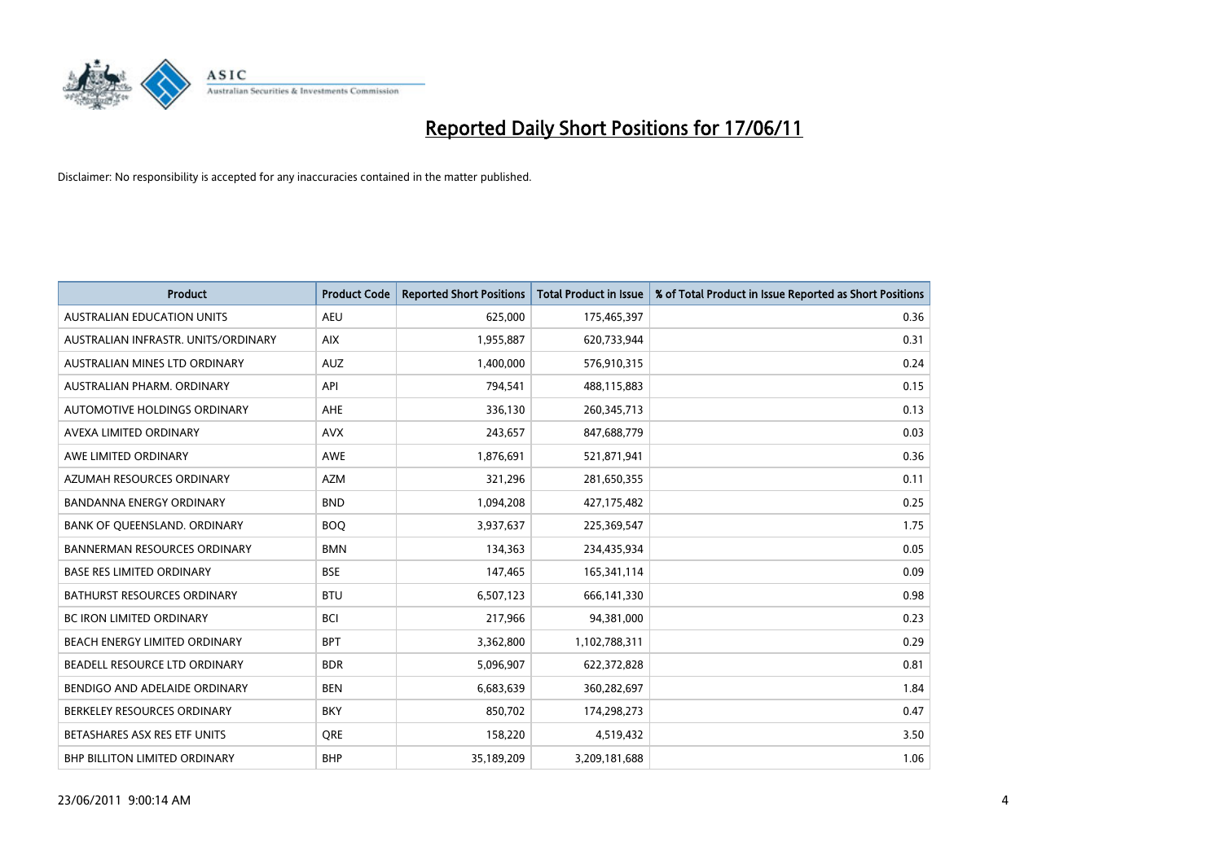

| <b>Product</b>                      | <b>Product Code</b> | <b>Reported Short Positions</b> | <b>Total Product in Issue</b> | % of Total Product in Issue Reported as Short Positions |
|-------------------------------------|---------------------|---------------------------------|-------------------------------|---------------------------------------------------------|
| <b>AUSTRALIAN EDUCATION UNITS</b>   | <b>AEU</b>          | 625,000                         | 175,465,397                   | 0.36                                                    |
| AUSTRALIAN INFRASTR. UNITS/ORDINARY | <b>AIX</b>          | 1,955,887                       | 620,733,944                   | 0.31                                                    |
| AUSTRALIAN MINES LTD ORDINARY       | <b>AUZ</b>          | 1,400,000                       | 576,910,315                   | 0.24                                                    |
| AUSTRALIAN PHARM. ORDINARY          | API                 | 794,541                         | 488,115,883                   | 0.15                                                    |
| AUTOMOTIVE HOLDINGS ORDINARY        | <b>AHE</b>          | 336,130                         | 260,345,713                   | 0.13                                                    |
| AVEXA LIMITED ORDINARY              | <b>AVX</b>          | 243,657                         | 847,688,779                   | 0.03                                                    |
| AWE LIMITED ORDINARY                | <b>AWE</b>          | 1,876,691                       | 521,871,941                   | 0.36                                                    |
| AZUMAH RESOURCES ORDINARY           | <b>AZM</b>          | 321,296                         | 281,650,355                   | 0.11                                                    |
| <b>BANDANNA ENERGY ORDINARY</b>     | <b>BND</b>          | 1,094,208                       | 427,175,482                   | 0.25                                                    |
| BANK OF QUEENSLAND. ORDINARY        | <b>BOO</b>          | 3,937,637                       | 225,369,547                   | 1.75                                                    |
| <b>BANNERMAN RESOURCES ORDINARY</b> | <b>BMN</b>          | 134,363                         | 234,435,934                   | 0.05                                                    |
| <b>BASE RES LIMITED ORDINARY</b>    | <b>BSE</b>          | 147,465                         | 165,341,114                   | 0.09                                                    |
| BATHURST RESOURCES ORDINARY         | <b>BTU</b>          | 6,507,123                       | 666,141,330                   | 0.98                                                    |
| <b>BC IRON LIMITED ORDINARY</b>     | <b>BCI</b>          | 217,966                         | 94,381,000                    | 0.23                                                    |
| BEACH ENERGY LIMITED ORDINARY       | <b>BPT</b>          | 3,362,800                       | 1,102,788,311                 | 0.29                                                    |
| BEADELL RESOURCE LTD ORDINARY       | <b>BDR</b>          | 5,096,907                       | 622,372,828                   | 0.81                                                    |
| BENDIGO AND ADELAIDE ORDINARY       | <b>BEN</b>          | 6,683,639                       | 360,282,697                   | 1.84                                                    |
| BERKELEY RESOURCES ORDINARY         | <b>BKY</b>          | 850,702                         | 174,298,273                   | 0.47                                                    |
| BETASHARES ASX RES ETF UNITS        | <b>ORE</b>          | 158,220                         | 4,519,432                     | 3.50                                                    |
| BHP BILLITON LIMITED ORDINARY       | <b>BHP</b>          | 35,189,209                      | 3,209,181,688                 | 1.06                                                    |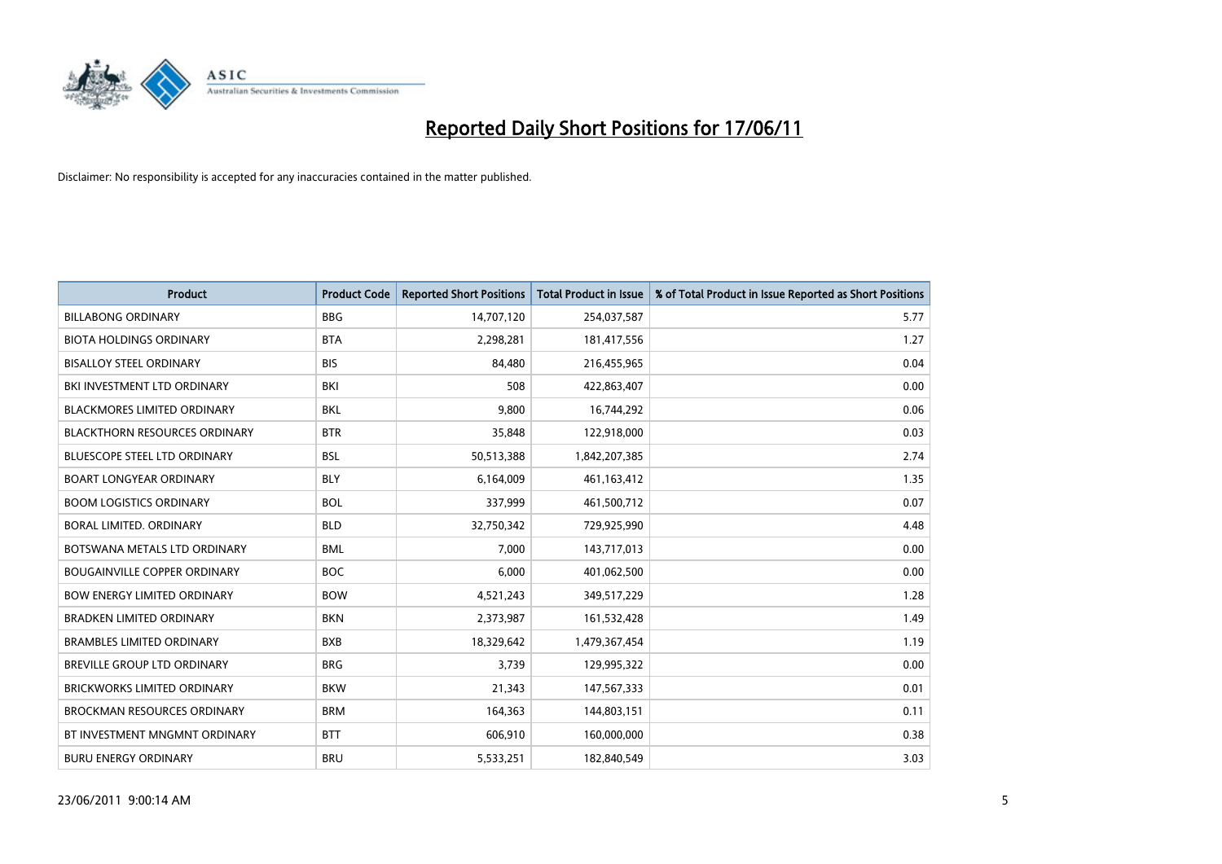

| <b>Product</b>                       | <b>Product Code</b> | <b>Reported Short Positions</b> | <b>Total Product in Issue</b> | % of Total Product in Issue Reported as Short Positions |
|--------------------------------------|---------------------|---------------------------------|-------------------------------|---------------------------------------------------------|
| <b>BILLABONG ORDINARY</b>            | <b>BBG</b>          | 14,707,120                      | 254,037,587                   | 5.77                                                    |
| <b>BIOTA HOLDINGS ORDINARY</b>       | <b>BTA</b>          | 2,298,281                       | 181,417,556                   | 1.27                                                    |
| <b>BISALLOY STEEL ORDINARY</b>       | <b>BIS</b>          | 84.480                          | 216,455,965                   | 0.04                                                    |
| BKI INVESTMENT LTD ORDINARY          | <b>BKI</b>          | 508                             | 422,863,407                   | 0.00                                                    |
| <b>BLACKMORES LIMITED ORDINARY</b>   | <b>BKL</b>          | 9,800                           | 16,744,292                    | 0.06                                                    |
| <b>BLACKTHORN RESOURCES ORDINARY</b> | <b>BTR</b>          | 35,848                          | 122,918,000                   | 0.03                                                    |
| <b>BLUESCOPE STEEL LTD ORDINARY</b>  | <b>BSL</b>          | 50,513,388                      | 1,842,207,385                 | 2.74                                                    |
| <b>BOART LONGYEAR ORDINARY</b>       | <b>BLY</b>          | 6,164,009                       | 461,163,412                   | 1.35                                                    |
| <b>BOOM LOGISTICS ORDINARY</b>       | <b>BOL</b>          | 337,999                         | 461,500,712                   | 0.07                                                    |
| <b>BORAL LIMITED, ORDINARY</b>       | <b>BLD</b>          | 32,750,342                      | 729,925,990                   | 4.48                                                    |
| BOTSWANA METALS LTD ORDINARY         | <b>BML</b>          | 7,000                           | 143,717,013                   | 0.00                                                    |
| <b>BOUGAINVILLE COPPER ORDINARY</b>  | <b>BOC</b>          | 6,000                           | 401,062,500                   | 0.00                                                    |
| <b>BOW ENERGY LIMITED ORDINARY</b>   | <b>BOW</b>          | 4,521,243                       | 349,517,229                   | 1.28                                                    |
| <b>BRADKEN LIMITED ORDINARY</b>      | <b>BKN</b>          | 2,373,987                       | 161,532,428                   | 1.49                                                    |
| <b>BRAMBLES LIMITED ORDINARY</b>     | <b>BXB</b>          | 18,329,642                      | 1,479,367,454                 | 1.19                                                    |
| BREVILLE GROUP LTD ORDINARY          | <b>BRG</b>          | 3,739                           | 129,995,322                   | 0.00                                                    |
| <b>BRICKWORKS LIMITED ORDINARY</b>   | <b>BKW</b>          | 21,343                          | 147,567,333                   | 0.01                                                    |
| <b>BROCKMAN RESOURCES ORDINARY</b>   | <b>BRM</b>          | 164,363                         | 144,803,151                   | 0.11                                                    |
| BT INVESTMENT MNGMNT ORDINARY        | <b>BTT</b>          | 606,910                         | 160,000,000                   | 0.38                                                    |
| <b>BURU ENERGY ORDINARY</b>          | <b>BRU</b>          | 5,533,251                       | 182,840,549                   | 3.03                                                    |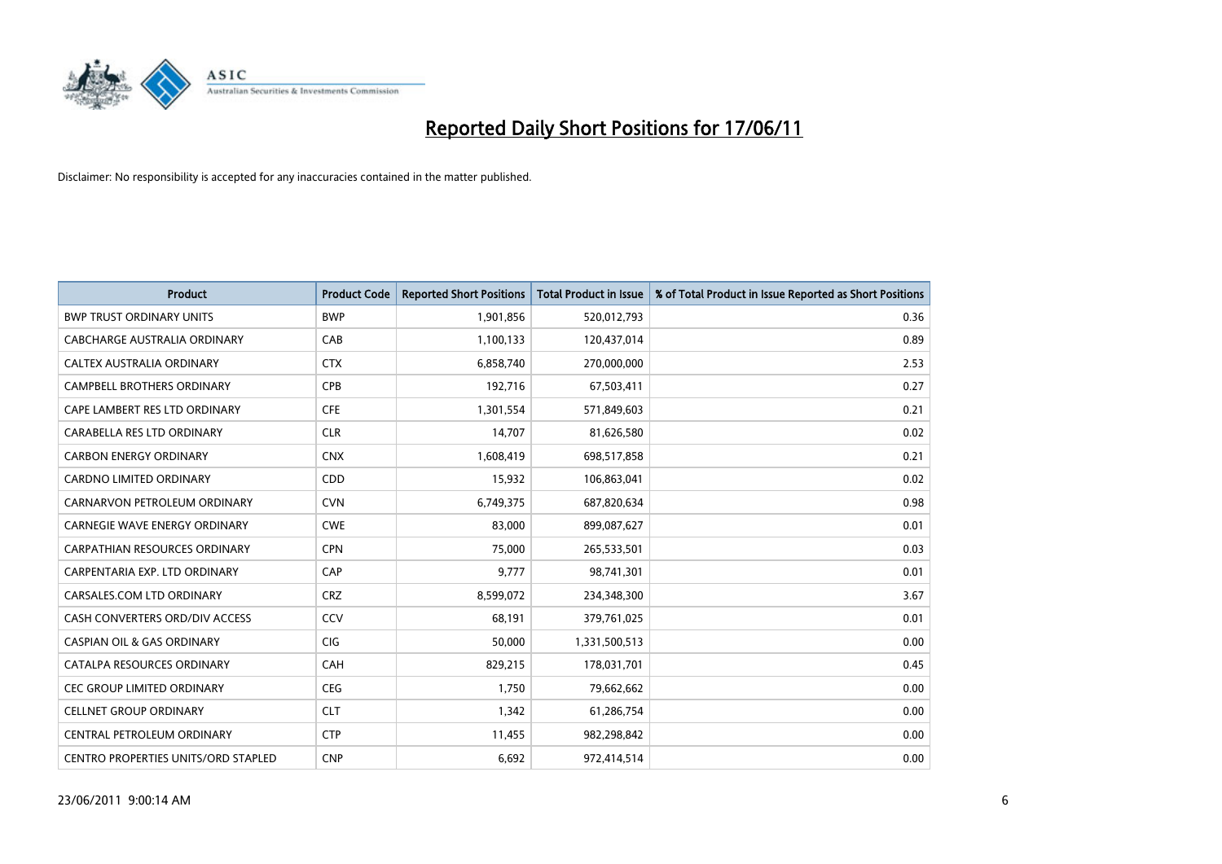

| <b>Product</b>                             | <b>Product Code</b> | <b>Reported Short Positions</b> | <b>Total Product in Issue</b> | % of Total Product in Issue Reported as Short Positions |
|--------------------------------------------|---------------------|---------------------------------|-------------------------------|---------------------------------------------------------|
| <b>BWP TRUST ORDINARY UNITS</b>            | <b>BWP</b>          | 1,901,856                       | 520,012,793                   | 0.36                                                    |
| CABCHARGE AUSTRALIA ORDINARY               | CAB                 | 1,100,133                       | 120,437,014                   | 0.89                                                    |
| CALTEX AUSTRALIA ORDINARY                  | <b>CTX</b>          | 6,858,740                       | 270,000,000                   | 2.53                                                    |
| CAMPBELL BROTHERS ORDINARY                 | <b>CPB</b>          | 192,716                         | 67,503,411                    | 0.27                                                    |
| CAPE LAMBERT RES LTD ORDINARY              | <b>CFE</b>          | 1,301,554                       | 571,849,603                   | 0.21                                                    |
| CARABELLA RES LTD ORDINARY                 | <b>CLR</b>          | 14,707                          | 81,626,580                    | 0.02                                                    |
| <b>CARBON ENERGY ORDINARY</b>              | <b>CNX</b>          | 1,608,419                       | 698,517,858                   | 0.21                                                    |
| CARDNO LIMITED ORDINARY                    | CDD                 | 15,932                          | 106,863,041                   | 0.02                                                    |
| CARNARVON PETROLEUM ORDINARY               | <b>CVN</b>          | 6,749,375                       | 687,820,634                   | 0.98                                                    |
| CARNEGIE WAVE ENERGY ORDINARY              | <b>CWE</b>          | 83,000                          | 899,087,627                   | 0.01                                                    |
| CARPATHIAN RESOURCES ORDINARY              | <b>CPN</b>          | 75,000                          | 265,533,501                   | 0.03                                                    |
| CARPENTARIA EXP. LTD ORDINARY              | CAP                 | 9,777                           | 98,741,301                    | 0.01                                                    |
| CARSALES.COM LTD ORDINARY                  | <b>CRZ</b>          | 8,599,072                       | 234,348,300                   | 3.67                                                    |
| CASH CONVERTERS ORD/DIV ACCESS             | CCV                 | 68,191                          | 379,761,025                   | 0.01                                                    |
| <b>CASPIAN OIL &amp; GAS ORDINARY</b>      | <b>CIG</b>          | 50,000                          | 1,331,500,513                 | 0.00                                                    |
| CATALPA RESOURCES ORDINARY                 | CAH                 | 829,215                         | 178,031,701                   | 0.45                                                    |
| <b>CEC GROUP LIMITED ORDINARY</b>          | <b>CEG</b>          | 1,750                           | 79,662,662                    | 0.00                                                    |
| <b>CELLNET GROUP ORDINARY</b>              | <b>CLT</b>          | 1,342                           | 61,286,754                    | 0.00                                                    |
| CENTRAL PETROLEUM ORDINARY                 | <b>CTP</b>          | 11,455                          | 982,298,842                   | 0.00                                                    |
| <b>CENTRO PROPERTIES UNITS/ORD STAPLED</b> | <b>CNP</b>          | 6,692                           | 972,414,514                   | 0.00                                                    |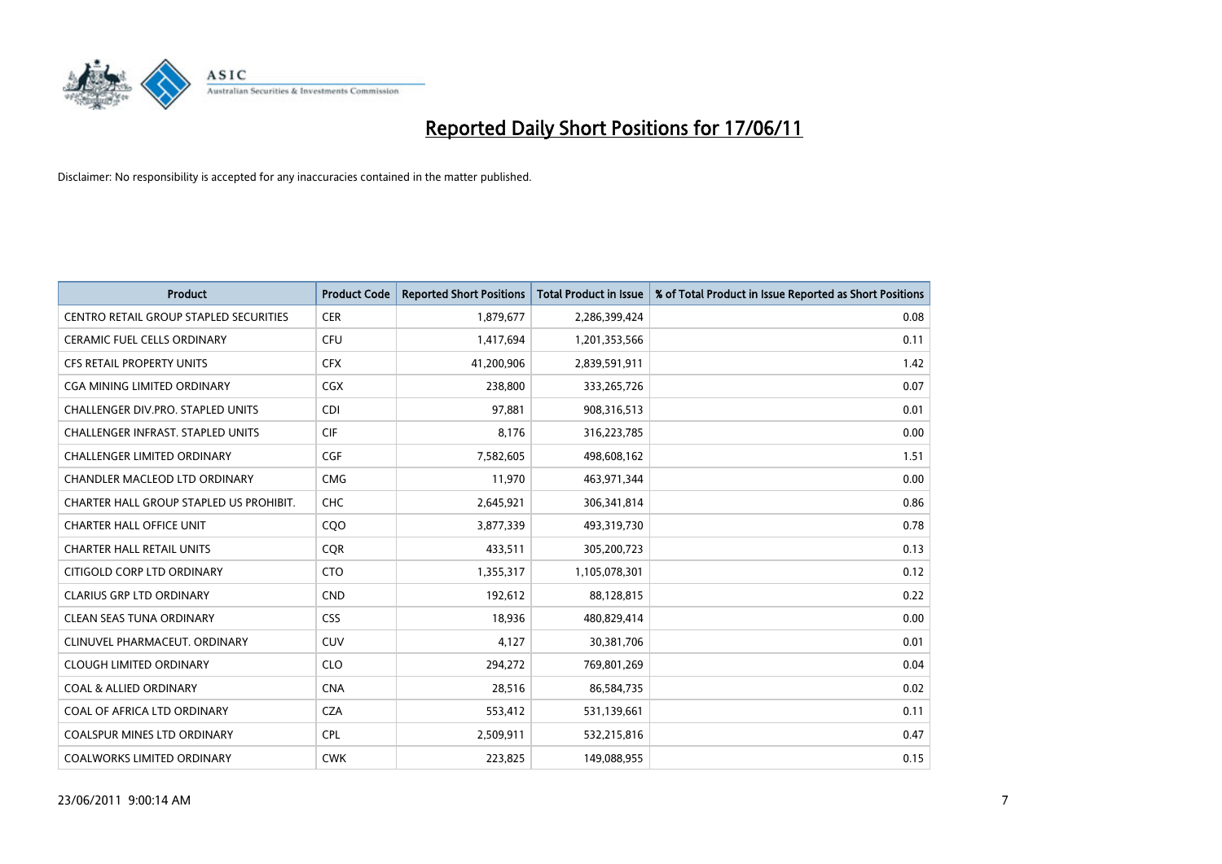

| <b>Product</b>                           | <b>Product Code</b> | <b>Reported Short Positions</b> | Total Product in Issue | % of Total Product in Issue Reported as Short Positions |
|------------------------------------------|---------------------|---------------------------------|------------------------|---------------------------------------------------------|
| CENTRO RETAIL GROUP STAPLED SECURITIES   | <b>CER</b>          | 1,879,677                       | 2,286,399,424          | 0.08                                                    |
| CERAMIC FUEL CELLS ORDINARY              | <b>CFU</b>          | 1,417,694                       | 1,201,353,566          | 0.11                                                    |
| <b>CFS RETAIL PROPERTY UNITS</b>         | <b>CFX</b>          | 41,200,906                      | 2,839,591,911          | 1.42                                                    |
| CGA MINING LIMITED ORDINARY              | <b>CGX</b>          | 238,800                         | 333,265,726            | 0.07                                                    |
| <b>CHALLENGER DIV.PRO. STAPLED UNITS</b> | <b>CDI</b>          | 97,881                          | 908,316,513            | 0.01                                                    |
| CHALLENGER INFRAST. STAPLED UNITS        | <b>CIF</b>          | 8,176                           | 316,223,785            | 0.00                                                    |
| <b>CHALLENGER LIMITED ORDINARY</b>       | CGF                 | 7,582,605                       | 498,608,162            | 1.51                                                    |
| CHANDLER MACLEOD LTD ORDINARY            | <b>CMG</b>          | 11,970                          | 463,971,344            | 0.00                                                    |
| CHARTER HALL GROUP STAPLED US PROHIBIT.  | <b>CHC</b>          | 2,645,921                       | 306,341,814            | 0.86                                                    |
| <b>CHARTER HALL OFFICE UNIT</b>          | CQO                 | 3,877,339                       | 493,319,730            | 0.78                                                    |
| <b>CHARTER HALL RETAIL UNITS</b>         | <b>CQR</b>          | 433,511                         | 305,200,723            | 0.13                                                    |
| CITIGOLD CORP LTD ORDINARY               | <b>CTO</b>          | 1,355,317                       | 1,105,078,301          | 0.12                                                    |
| <b>CLARIUS GRP LTD ORDINARY</b>          | <b>CND</b>          | 192,612                         | 88,128,815             | 0.22                                                    |
| <b>CLEAN SEAS TUNA ORDINARY</b>          | <b>CSS</b>          | 18,936                          | 480,829,414            | 0.00                                                    |
| CLINUVEL PHARMACEUT, ORDINARY            | CUV                 | 4,127                           | 30,381,706             | 0.01                                                    |
| <b>CLOUGH LIMITED ORDINARY</b>           | <b>CLO</b>          | 294,272                         | 769,801,269            | 0.04                                                    |
| <b>COAL &amp; ALLIED ORDINARY</b>        | <b>CNA</b>          | 28,516                          | 86,584,735             | 0.02                                                    |
| COAL OF AFRICA LTD ORDINARY              | <b>CZA</b>          | 553,412                         | 531,139,661            | 0.11                                                    |
| <b>COALSPUR MINES LTD ORDINARY</b>       | <b>CPL</b>          | 2,509,911                       | 532,215,816            | 0.47                                                    |
| <b>COALWORKS LIMITED ORDINARY</b>        | <b>CWK</b>          | 223.825                         | 149,088,955            | 0.15                                                    |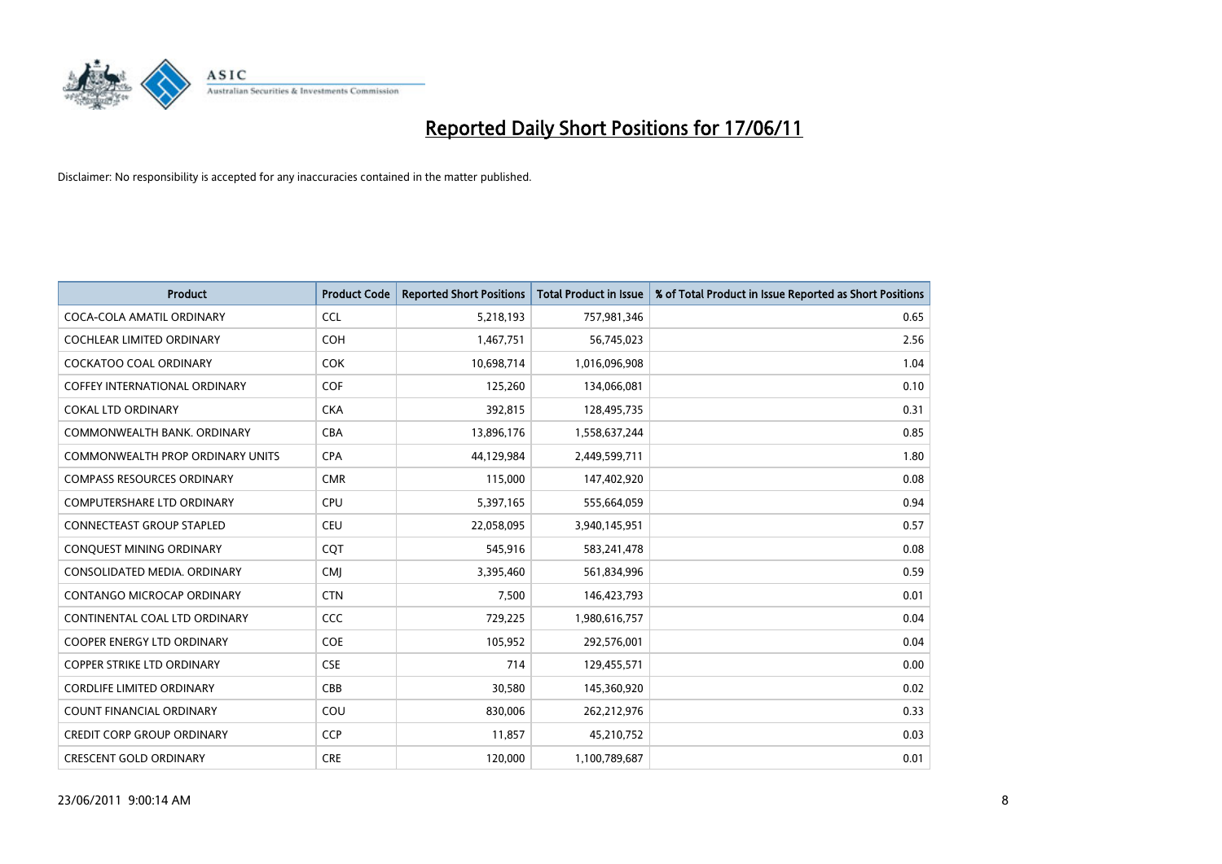

| <b>Product</b>                       | <b>Product Code</b> | <b>Reported Short Positions</b> | <b>Total Product in Issue</b> | % of Total Product in Issue Reported as Short Positions |
|--------------------------------------|---------------------|---------------------------------|-------------------------------|---------------------------------------------------------|
| COCA-COLA AMATIL ORDINARY            | <b>CCL</b>          | 5,218,193                       | 757,981,346                   | 0.65                                                    |
| COCHLEAR LIMITED ORDINARY            | COH                 | 1,467,751                       | 56,745,023                    | 2.56                                                    |
| <b>COCKATOO COAL ORDINARY</b>        | <b>COK</b>          | 10,698,714                      | 1,016,096,908                 | 1.04                                                    |
| <b>COFFEY INTERNATIONAL ORDINARY</b> | <b>COF</b>          | 125,260                         | 134,066,081                   | 0.10                                                    |
| <b>COKAL LTD ORDINARY</b>            | <b>CKA</b>          | 392,815                         | 128,495,735                   | 0.31                                                    |
| COMMONWEALTH BANK, ORDINARY          | <b>CBA</b>          | 13,896,176                      | 1,558,637,244                 | 0.85                                                    |
| COMMONWEALTH PROP ORDINARY UNITS     | <b>CPA</b>          | 44,129,984                      | 2,449,599,711                 | 1.80                                                    |
| <b>COMPASS RESOURCES ORDINARY</b>    | <b>CMR</b>          | 115,000                         | 147,402,920                   | 0.08                                                    |
| COMPUTERSHARE LTD ORDINARY           | CPU                 | 5,397,165                       | 555,664,059                   | 0.94                                                    |
| <b>CONNECTEAST GROUP STAPLED</b>     | <b>CEU</b>          | 22,058,095                      | 3,940,145,951                 | 0.57                                                    |
| CONQUEST MINING ORDINARY             | CQT                 | 545,916                         | 583,241,478                   | 0.08                                                    |
| CONSOLIDATED MEDIA, ORDINARY         | <b>CMI</b>          | 3,395,460                       | 561,834,996                   | 0.59                                                    |
| CONTANGO MICROCAP ORDINARY           | <b>CTN</b>          | 7,500                           | 146,423,793                   | 0.01                                                    |
| CONTINENTAL COAL LTD ORDINARY        | CCC                 | 729,225                         | 1,980,616,757                 | 0.04                                                    |
| <b>COOPER ENERGY LTD ORDINARY</b>    | COE                 | 105,952                         | 292,576,001                   | 0.04                                                    |
| <b>COPPER STRIKE LTD ORDINARY</b>    | <b>CSE</b>          | 714                             | 129,455,571                   | 0.00                                                    |
| <b>CORDLIFE LIMITED ORDINARY</b>     | CBB                 | 30,580                          | 145,360,920                   | 0.02                                                    |
| COUNT FINANCIAL ORDINARY             | COU                 | 830,006                         | 262,212,976                   | 0.33                                                    |
| <b>CREDIT CORP GROUP ORDINARY</b>    | <b>CCP</b>          | 11,857                          | 45,210,752                    | 0.03                                                    |
| <b>CRESCENT GOLD ORDINARY</b>        | <b>CRE</b>          | 120,000                         | 1,100,789,687                 | 0.01                                                    |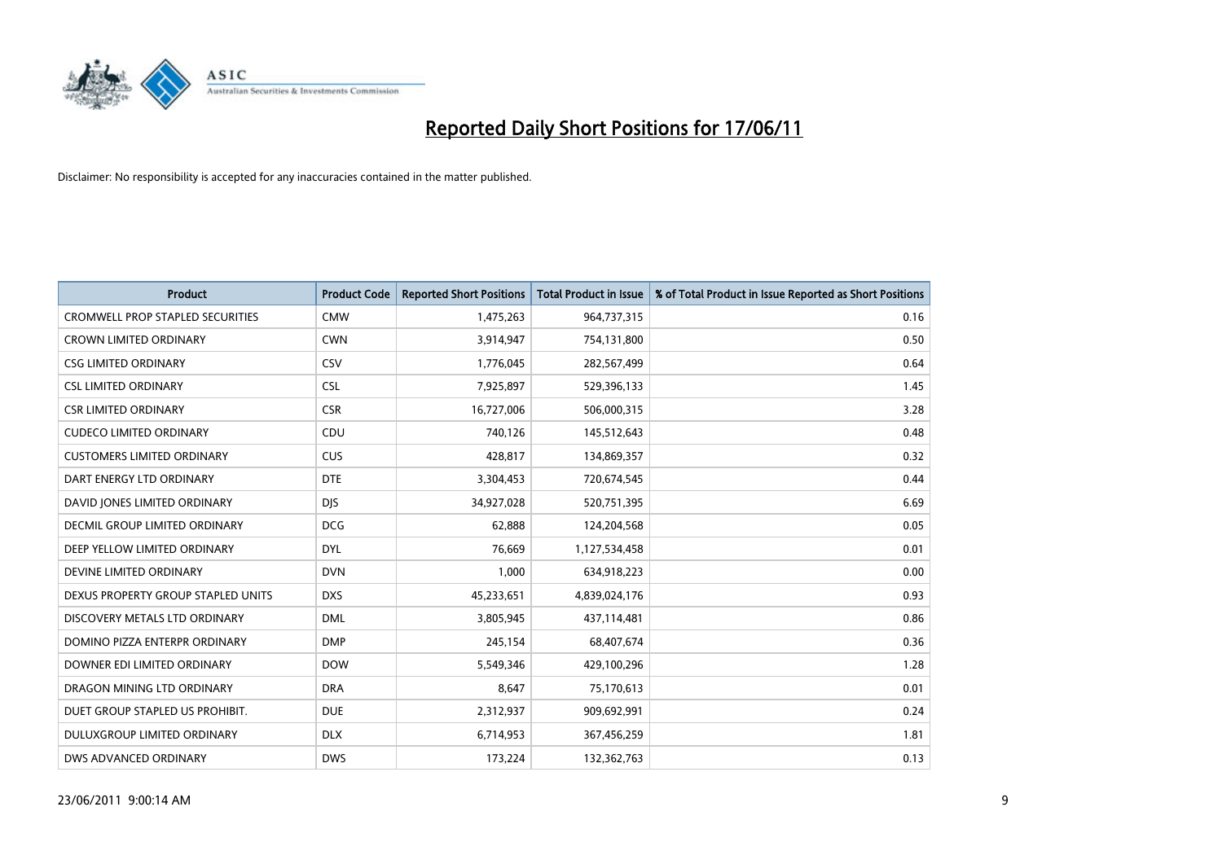

| <b>Product</b>                          | <b>Product Code</b> | <b>Reported Short Positions</b> | <b>Total Product in Issue</b> | % of Total Product in Issue Reported as Short Positions |
|-----------------------------------------|---------------------|---------------------------------|-------------------------------|---------------------------------------------------------|
| <b>CROMWELL PROP STAPLED SECURITIES</b> | <b>CMW</b>          | 1,475,263                       | 964,737,315                   | 0.16                                                    |
| CROWN LIMITED ORDINARY                  | <b>CWN</b>          | 3,914,947                       | 754,131,800                   | 0.50                                                    |
| <b>CSG LIMITED ORDINARY</b>             | CSV                 | 1,776,045                       | 282,567,499                   | 0.64                                                    |
| <b>CSL LIMITED ORDINARY</b>             | <b>CSL</b>          | 7,925,897                       | 529,396,133                   | 1.45                                                    |
| <b>CSR LIMITED ORDINARY</b>             | <b>CSR</b>          | 16,727,006                      | 506,000,315                   | 3.28                                                    |
| <b>CUDECO LIMITED ORDINARY</b>          | CDU                 | 740,126                         | 145,512,643                   | 0.48                                                    |
| <b>CUSTOMERS LIMITED ORDINARY</b>       | CUS                 | 428,817                         | 134,869,357                   | 0.32                                                    |
| DART ENERGY LTD ORDINARY                | <b>DTE</b>          | 3,304,453                       | 720,674,545                   | 0.44                                                    |
| DAVID JONES LIMITED ORDINARY            | <b>DIS</b>          | 34,927,028                      | 520,751,395                   | 6.69                                                    |
| DECMIL GROUP LIMITED ORDINARY           | <b>DCG</b>          | 62,888                          | 124,204,568                   | 0.05                                                    |
| DEEP YELLOW LIMITED ORDINARY            | <b>DYL</b>          | 76,669                          | 1,127,534,458                 | 0.01                                                    |
| DEVINE LIMITED ORDINARY                 | <b>DVN</b>          | 1,000                           | 634,918,223                   | 0.00                                                    |
| DEXUS PROPERTY GROUP STAPLED UNITS      | <b>DXS</b>          | 45,233,651                      | 4,839,024,176                 | 0.93                                                    |
| DISCOVERY METALS LTD ORDINARY           | <b>DML</b>          | 3,805,945                       | 437,114,481                   | 0.86                                                    |
| DOMINO PIZZA ENTERPR ORDINARY           | <b>DMP</b>          | 245,154                         | 68,407,674                    | 0.36                                                    |
| DOWNER EDI LIMITED ORDINARY             | <b>DOW</b>          | 5,549,346                       | 429,100,296                   | 1.28                                                    |
| DRAGON MINING LTD ORDINARY              | <b>DRA</b>          | 8,647                           | 75,170,613                    | 0.01                                                    |
| DUET GROUP STAPLED US PROHIBIT.         | <b>DUE</b>          | 2,312,937                       | 909,692,991                   | 0.24                                                    |
| DULUXGROUP LIMITED ORDINARY             | <b>DLX</b>          | 6,714,953                       | 367,456,259                   | 1.81                                                    |
| DWS ADVANCED ORDINARY                   | <b>DWS</b>          | 173,224                         | 132,362,763                   | 0.13                                                    |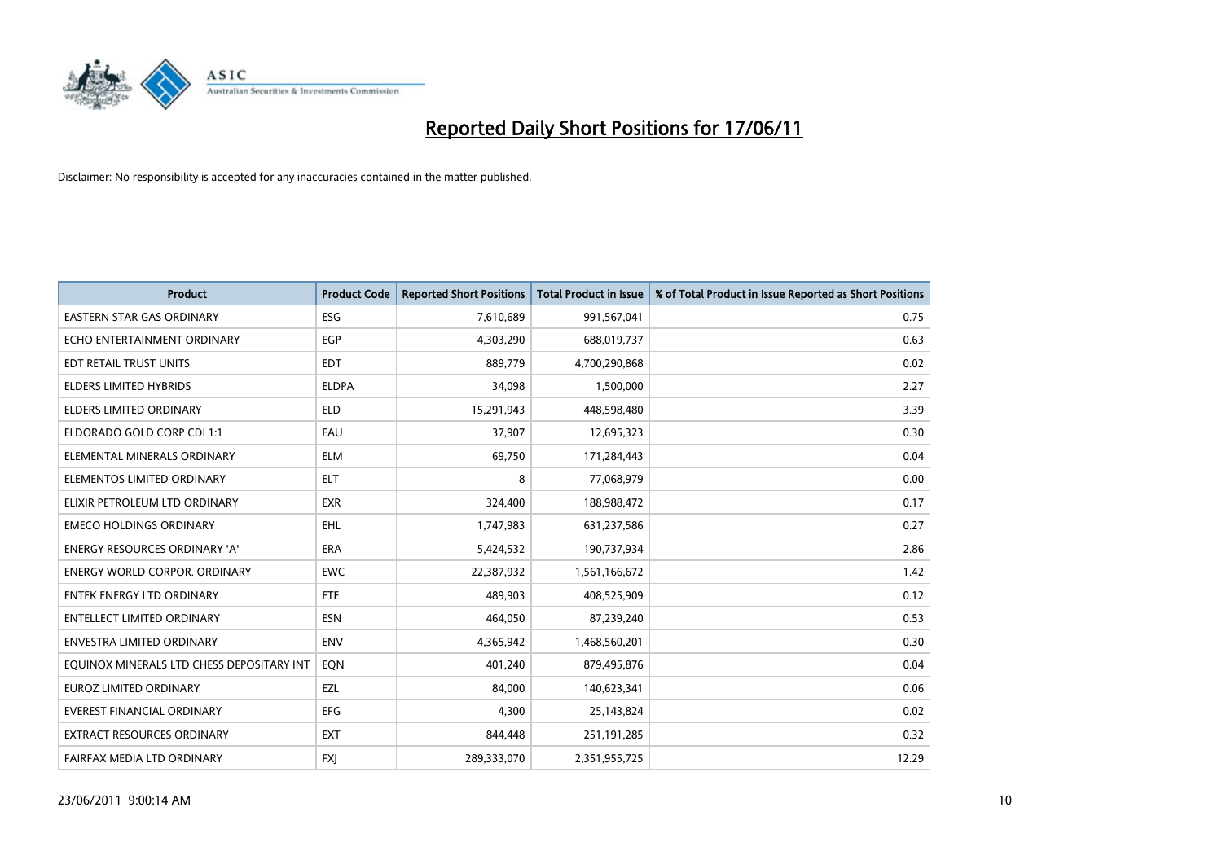

| <b>Product</b>                            | <b>Product Code</b> | <b>Reported Short Positions</b> | Total Product in Issue | % of Total Product in Issue Reported as Short Positions |
|-------------------------------------------|---------------------|---------------------------------|------------------------|---------------------------------------------------------|
| <b>EASTERN STAR GAS ORDINARY</b>          | <b>ESG</b>          | 7,610,689                       | 991,567,041            | 0.75                                                    |
| ECHO ENTERTAINMENT ORDINARY               | <b>EGP</b>          | 4,303,290                       | 688,019,737            | 0.63                                                    |
| EDT RETAIL TRUST UNITS                    | <b>EDT</b>          | 889,779                         | 4,700,290,868          | 0.02                                                    |
| ELDERS LIMITED HYBRIDS                    | <b>ELDPA</b>        | 34,098                          | 1,500,000              | 2.27                                                    |
| <b>ELDERS LIMITED ORDINARY</b>            | <b>ELD</b>          | 15,291,943                      | 448,598,480            | 3.39                                                    |
| ELDORADO GOLD CORP CDI 1:1                | EAU                 | 37,907                          | 12,695,323             | 0.30                                                    |
| ELEMENTAL MINERALS ORDINARY               | <b>ELM</b>          | 69,750                          | 171,284,443            | 0.04                                                    |
| ELEMENTOS LIMITED ORDINARY                | <b>ELT</b>          | 8                               | 77,068,979             | 0.00                                                    |
| ELIXIR PETROLEUM LTD ORDINARY             | <b>EXR</b>          | 324,400                         | 188,988,472            | 0.17                                                    |
| <b>EMECO HOLDINGS ORDINARY</b>            | <b>EHL</b>          | 1,747,983                       | 631,237,586            | 0.27                                                    |
| ENERGY RESOURCES ORDINARY 'A'             | <b>ERA</b>          | 5,424,532                       | 190,737,934            | 2.86                                                    |
| ENERGY WORLD CORPOR. ORDINARY             | <b>EWC</b>          | 22,387,932                      | 1,561,166,672          | 1.42                                                    |
| <b>ENTEK ENERGY LTD ORDINARY</b>          | ETE                 | 489,903                         | 408,525,909            | 0.12                                                    |
| <b>ENTELLECT LIMITED ORDINARY</b>         | <b>ESN</b>          | 464,050                         | 87,239,240             | 0.53                                                    |
| <b>ENVESTRA LIMITED ORDINARY</b>          | <b>ENV</b>          | 4,365,942                       | 1,468,560,201          | 0.30                                                    |
| EQUINOX MINERALS LTD CHESS DEPOSITARY INT | EON                 | 401,240                         | 879,495,876            | 0.04                                                    |
| <b>EUROZ LIMITED ORDINARY</b>             | EZL                 | 84,000                          | 140,623,341            | 0.06                                                    |
| <b>EVEREST FINANCIAL ORDINARY</b>         | <b>EFG</b>          | 4,300                           | 25,143,824             | 0.02                                                    |
| EXTRACT RESOURCES ORDINARY                | <b>EXT</b>          | 844,448                         | 251,191,285            | 0.32                                                    |
| FAIRFAX MEDIA LTD ORDINARY                | <b>FXI</b>          | 289,333,070                     | 2,351,955,725          | 12.29                                                   |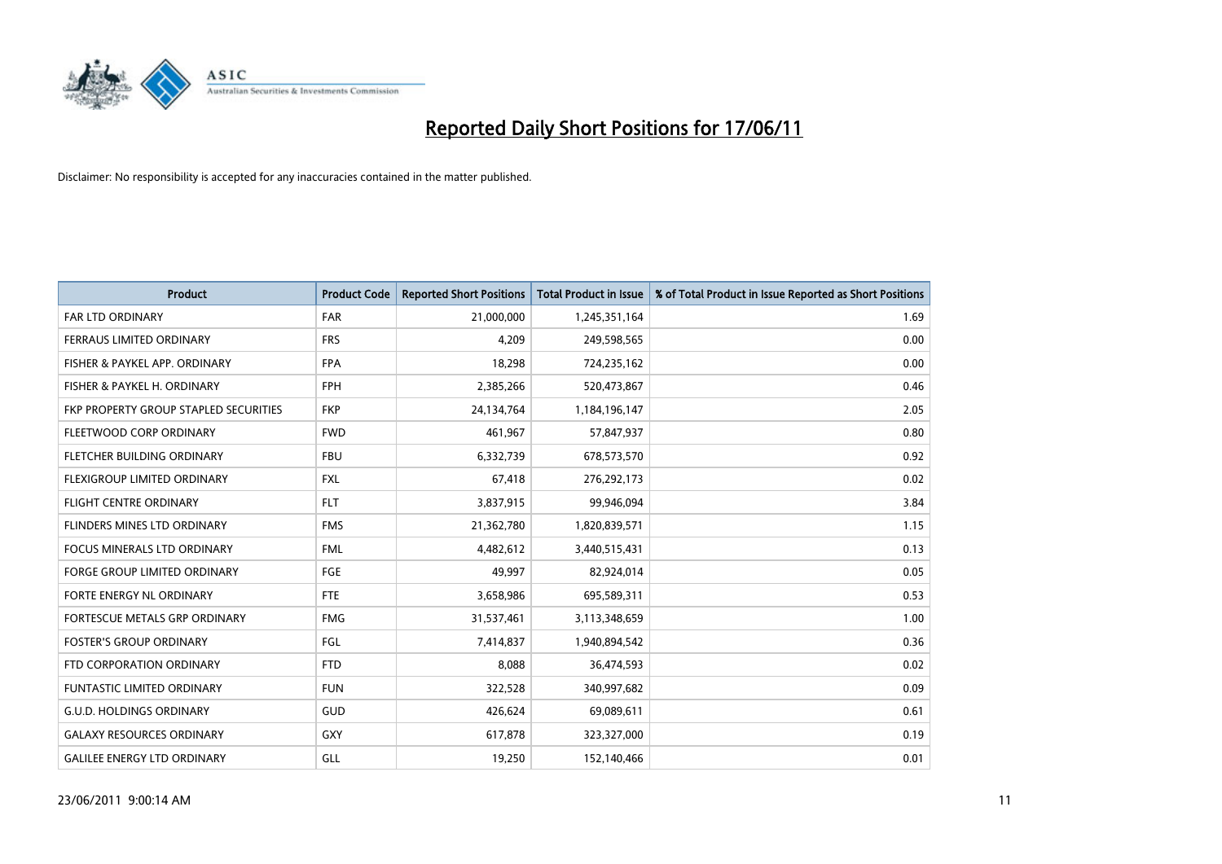

| <b>Product</b>                        | <b>Product Code</b> | <b>Reported Short Positions</b> | <b>Total Product in Issue</b> | % of Total Product in Issue Reported as Short Positions |
|---------------------------------------|---------------------|---------------------------------|-------------------------------|---------------------------------------------------------|
| <b>FAR LTD ORDINARY</b>               | <b>FAR</b>          | 21,000,000                      | 1,245,351,164                 | 1.69                                                    |
| FERRAUS LIMITED ORDINARY              | <b>FRS</b>          | 4,209                           | 249,598,565                   | 0.00                                                    |
| FISHER & PAYKEL APP. ORDINARY         | <b>FPA</b>          | 18,298                          | 724,235,162                   | 0.00                                                    |
| FISHER & PAYKEL H. ORDINARY           | <b>FPH</b>          | 2,385,266                       | 520,473,867                   | 0.46                                                    |
| FKP PROPERTY GROUP STAPLED SECURITIES | <b>FKP</b>          | 24,134,764                      | 1,184,196,147                 | 2.05                                                    |
| FLEETWOOD CORP ORDINARY               | <b>FWD</b>          | 461,967                         | 57,847,937                    | 0.80                                                    |
| <b>FLETCHER BUILDING ORDINARY</b>     | <b>FBU</b>          | 6,332,739                       | 678,573,570                   | 0.92                                                    |
| FLEXIGROUP LIMITED ORDINARY           | <b>FXL</b>          | 67,418                          | 276,292,173                   | 0.02                                                    |
| <b>FLIGHT CENTRE ORDINARY</b>         | <b>FLT</b>          | 3,837,915                       | 99,946,094                    | 3.84                                                    |
| FLINDERS MINES LTD ORDINARY           | <b>FMS</b>          | 21,362,780                      | 1,820,839,571                 | 1.15                                                    |
| FOCUS MINERALS LTD ORDINARY           | <b>FML</b>          | 4,482,612                       | 3,440,515,431                 | 0.13                                                    |
| <b>FORGE GROUP LIMITED ORDINARY</b>   | <b>FGE</b>          | 49,997                          | 82,924,014                    | 0.05                                                    |
| FORTE ENERGY NL ORDINARY              | <b>FTE</b>          | 3,658,986                       | 695,589,311                   | 0.53                                                    |
| FORTESCUE METALS GRP ORDINARY         | <b>FMG</b>          | 31,537,461                      | 3,113,348,659                 | 1.00                                                    |
| <b>FOSTER'S GROUP ORDINARY</b>        | FGL                 | 7,414,837                       | 1,940,894,542                 | 0.36                                                    |
| FTD CORPORATION ORDINARY              | <b>FTD</b>          | 8,088                           | 36,474,593                    | 0.02                                                    |
| FUNTASTIC LIMITED ORDINARY            | <b>FUN</b>          | 322,528                         | 340,997,682                   | 0.09                                                    |
| <b>G.U.D. HOLDINGS ORDINARY</b>       | <b>GUD</b>          | 426,624                         | 69,089,611                    | 0.61                                                    |
| <b>GALAXY RESOURCES ORDINARY</b>      | <b>GXY</b>          | 617,878                         | 323,327,000                   | 0.19                                                    |
| <b>GALILEE ENERGY LTD ORDINARY</b>    | GLL                 | 19,250                          | 152,140,466                   | 0.01                                                    |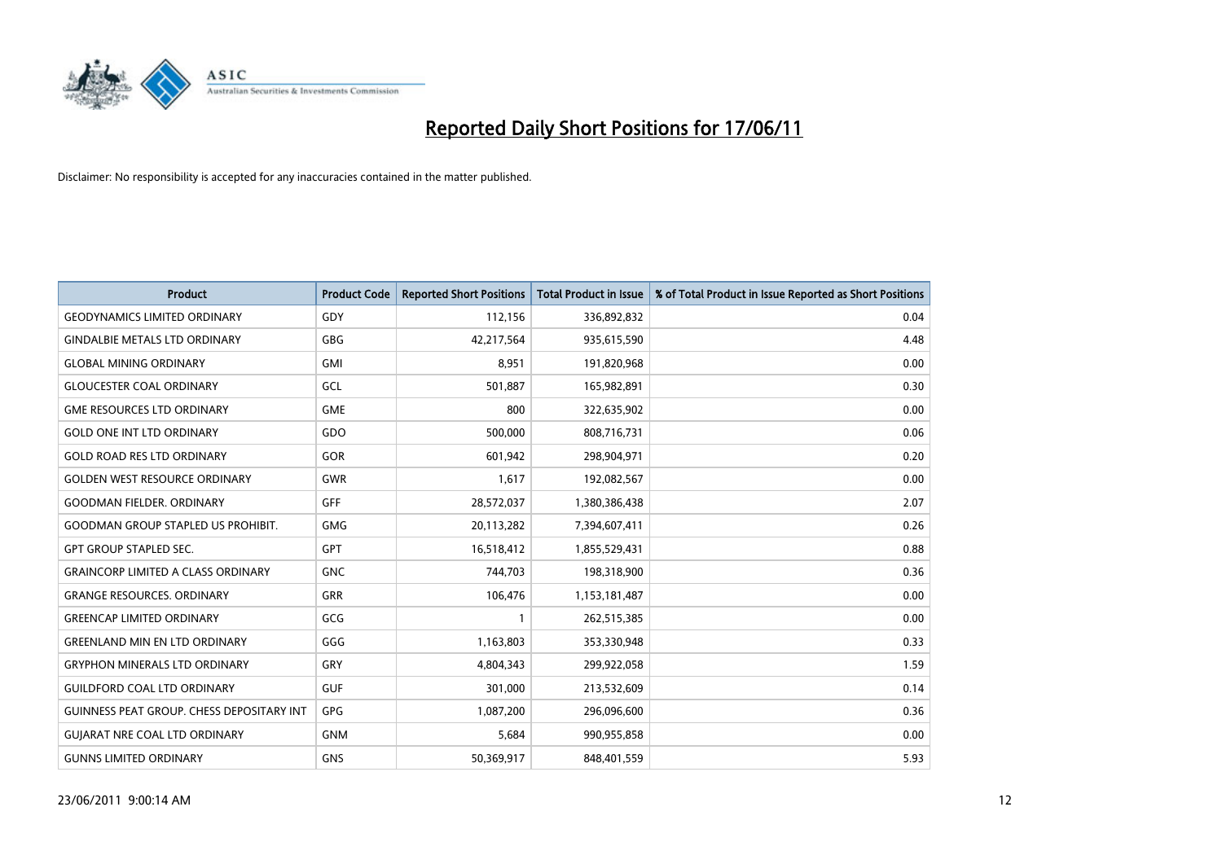

| <b>Product</b>                                   | <b>Product Code</b> | <b>Reported Short Positions</b> | <b>Total Product in Issue</b> | % of Total Product in Issue Reported as Short Positions |
|--------------------------------------------------|---------------------|---------------------------------|-------------------------------|---------------------------------------------------------|
| <b>GEODYNAMICS LIMITED ORDINARY</b>              | GDY                 | 112,156                         | 336,892,832                   | 0.04                                                    |
| <b>GINDALBIE METALS LTD ORDINARY</b>             | <b>GBG</b>          | 42,217,564                      | 935,615,590                   | 4.48                                                    |
| <b>GLOBAL MINING ORDINARY</b>                    | <b>GMI</b>          | 8,951                           | 191,820,968                   | 0.00                                                    |
| <b>GLOUCESTER COAL ORDINARY</b>                  | GCL                 | 501,887                         | 165,982,891                   | 0.30                                                    |
| <b>GME RESOURCES LTD ORDINARY</b>                | <b>GME</b>          | 800                             | 322,635,902                   | 0.00                                                    |
| <b>GOLD ONE INT LTD ORDINARY</b>                 | GDO                 | 500,000                         | 808,716,731                   | 0.06                                                    |
| <b>GOLD ROAD RES LTD ORDINARY</b>                | GOR                 | 601,942                         | 298,904,971                   | 0.20                                                    |
| <b>GOLDEN WEST RESOURCE ORDINARY</b>             | GWR                 | 1,617                           | 192,082,567                   | 0.00                                                    |
| <b>GOODMAN FIELDER. ORDINARY</b>                 | <b>GFF</b>          | 28,572,037                      | 1,380,386,438                 | 2.07                                                    |
| <b>GOODMAN GROUP STAPLED US PROHIBIT.</b>        | <b>GMG</b>          | 20,113,282                      | 7,394,607,411                 | 0.26                                                    |
| <b>GPT GROUP STAPLED SEC.</b>                    | <b>GPT</b>          | 16,518,412                      | 1,855,529,431                 | 0.88                                                    |
| <b>GRAINCORP LIMITED A CLASS ORDINARY</b>        | <b>GNC</b>          | 744,703                         | 198,318,900                   | 0.36                                                    |
| <b>GRANGE RESOURCES, ORDINARY</b>                | <b>GRR</b>          | 106,476                         | 1,153,181,487                 | 0.00                                                    |
| <b>GREENCAP LIMITED ORDINARY</b>                 | GCG                 |                                 | 262,515,385                   | 0.00                                                    |
| <b>GREENLAND MIN EN LTD ORDINARY</b>             | GGG                 | 1,163,803                       | 353,330,948                   | 0.33                                                    |
| <b>GRYPHON MINERALS LTD ORDINARY</b>             | GRY                 | 4,804,343                       | 299,922,058                   | 1.59                                                    |
| <b>GUILDFORD COAL LTD ORDINARY</b>               | <b>GUF</b>          | 301,000                         | 213,532,609                   | 0.14                                                    |
| <b>GUINNESS PEAT GROUP. CHESS DEPOSITARY INT</b> | <b>GPG</b>          | 1,087,200                       | 296,096,600                   | 0.36                                                    |
| <b>GUIARAT NRE COAL LTD ORDINARY</b>             | <b>GNM</b>          | 5,684                           | 990,955,858                   | 0.00                                                    |
| <b>GUNNS LIMITED ORDINARY</b>                    | <b>GNS</b>          | 50,369,917                      | 848,401,559                   | 5.93                                                    |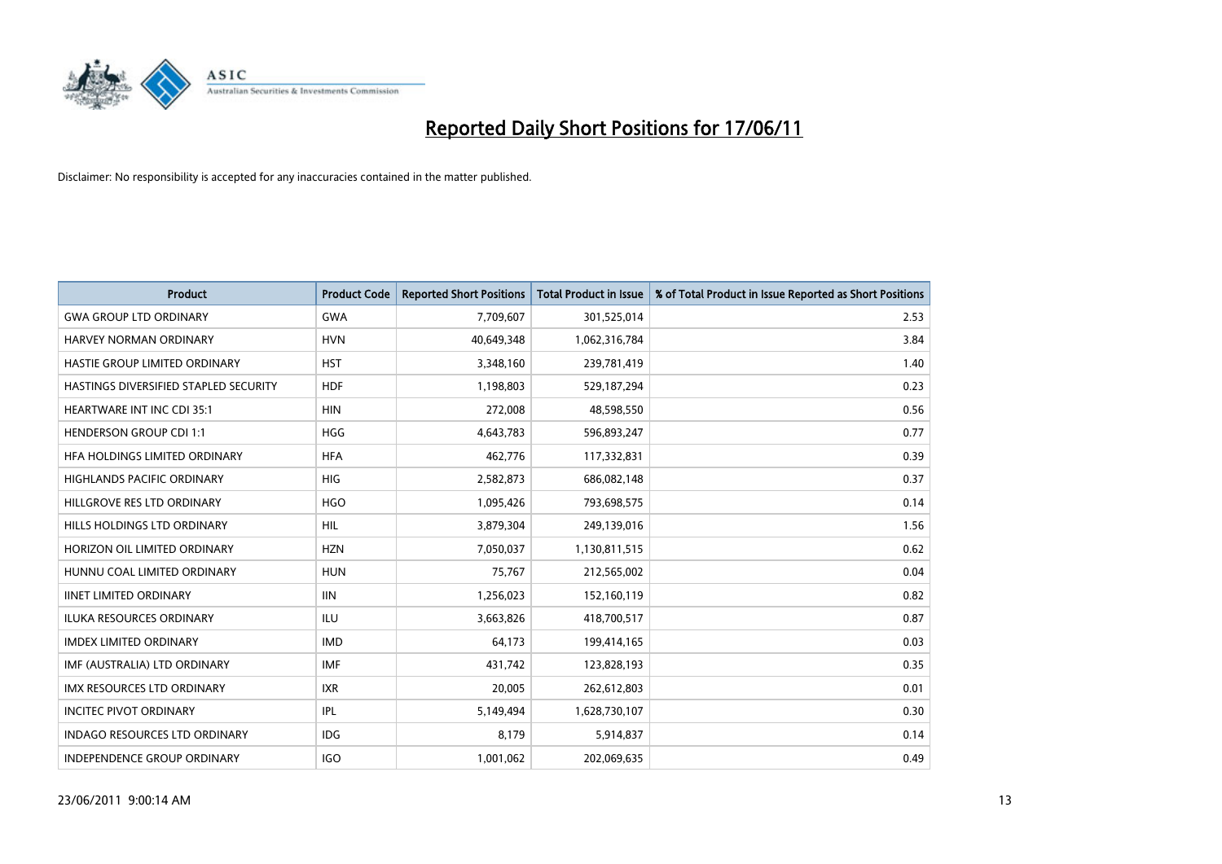

| <b>Product</b>                        | <b>Product Code</b> | <b>Reported Short Positions</b> | <b>Total Product in Issue</b> | % of Total Product in Issue Reported as Short Positions |
|---------------------------------------|---------------------|---------------------------------|-------------------------------|---------------------------------------------------------|
| <b>GWA GROUP LTD ORDINARY</b>         | <b>GWA</b>          | 7,709,607                       | 301,525,014                   | 2.53                                                    |
| <b>HARVEY NORMAN ORDINARY</b>         | <b>HVN</b>          | 40,649,348                      | 1,062,316,784                 | 3.84                                                    |
| HASTIE GROUP LIMITED ORDINARY         | <b>HST</b>          | 3,348,160                       | 239,781,419                   | 1.40                                                    |
| HASTINGS DIVERSIFIED STAPLED SECURITY | <b>HDF</b>          | 1,198,803                       | 529,187,294                   | 0.23                                                    |
| <b>HEARTWARE INT INC CDI 35:1</b>     | <b>HIN</b>          | 272.008                         | 48,598,550                    | 0.56                                                    |
| <b>HENDERSON GROUP CDI 1:1</b>        | <b>HGG</b>          | 4,643,783                       | 596,893,247                   | 0.77                                                    |
| HFA HOLDINGS LIMITED ORDINARY         | <b>HFA</b>          | 462,776                         | 117,332,831                   | 0.39                                                    |
| <b>HIGHLANDS PACIFIC ORDINARY</b>     | <b>HIG</b>          | 2,582,873                       | 686,082,148                   | 0.37                                                    |
| HILLGROVE RES LTD ORDINARY            | <b>HGO</b>          | 1,095,426                       | 793,698,575                   | 0.14                                                    |
| HILLS HOLDINGS LTD ORDINARY           | <b>HIL</b>          | 3,879,304                       | 249,139,016                   | 1.56                                                    |
| HORIZON OIL LIMITED ORDINARY          | <b>HZN</b>          | 7,050,037                       | 1,130,811,515                 | 0.62                                                    |
| HUNNU COAL LIMITED ORDINARY           | <b>HUN</b>          | 75,767                          | 212,565,002                   | 0.04                                                    |
| <b>IINET LIMITED ORDINARY</b>         | <b>IIN</b>          | 1,256,023                       | 152,160,119                   | 0.82                                                    |
| <b>ILUKA RESOURCES ORDINARY</b>       | <b>ILU</b>          | 3,663,826                       | 418,700,517                   | 0.87                                                    |
| <b>IMDEX LIMITED ORDINARY</b>         | <b>IMD</b>          | 64,173                          | 199,414,165                   | 0.03                                                    |
| IMF (AUSTRALIA) LTD ORDINARY          | <b>IMF</b>          | 431.742                         | 123,828,193                   | 0.35                                                    |
| <b>IMX RESOURCES LTD ORDINARY</b>     | <b>IXR</b>          | 20,005                          | 262,612,803                   | 0.01                                                    |
| <b>INCITEC PIVOT ORDINARY</b>         | <b>IPL</b>          | 5,149,494                       | 1,628,730,107                 | 0.30                                                    |
| <b>INDAGO RESOURCES LTD ORDINARY</b>  | <b>IDG</b>          | 8,179                           | 5,914,837                     | 0.14                                                    |
| INDEPENDENCE GROUP ORDINARY           | <b>IGO</b>          | 1,001,062                       | 202,069,635                   | 0.49                                                    |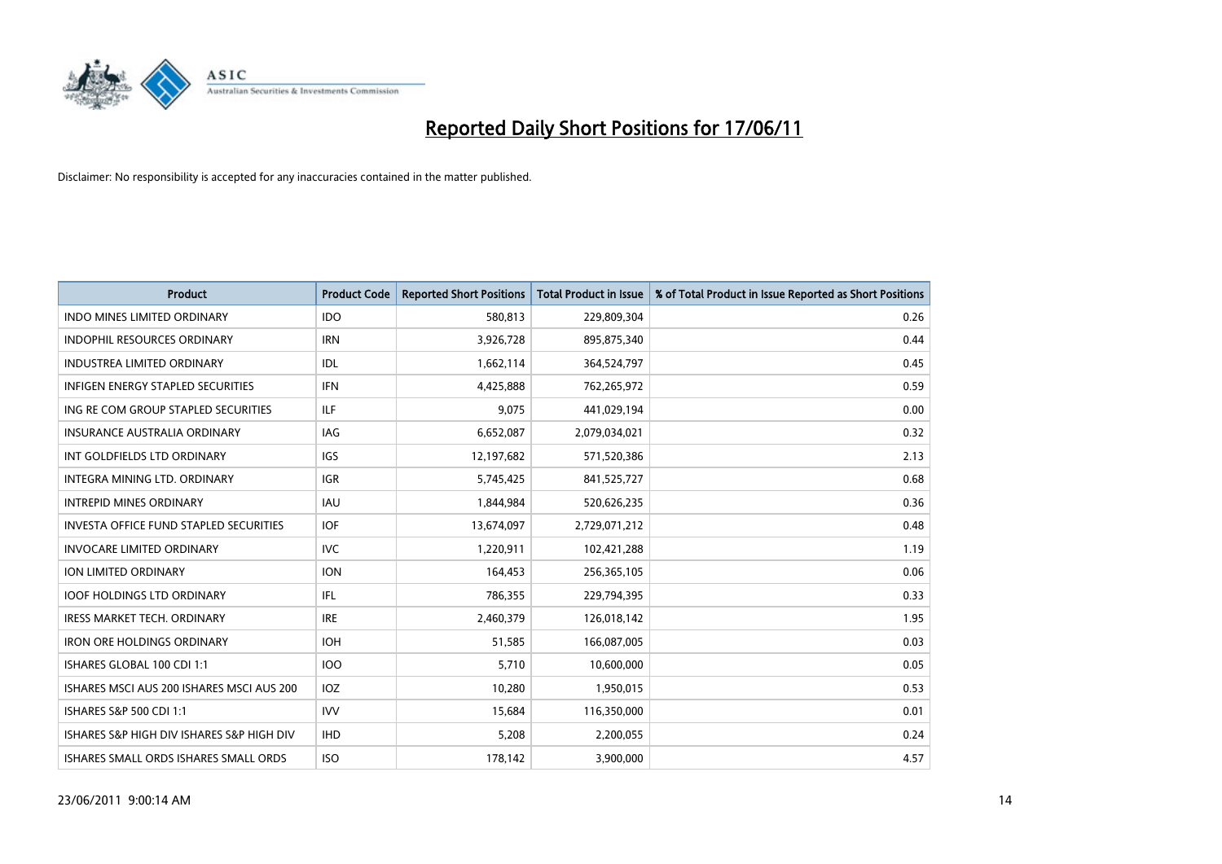

| <b>Product</b>                               | <b>Product Code</b> | <b>Reported Short Positions</b> | <b>Total Product in Issue</b> | % of Total Product in Issue Reported as Short Positions |
|----------------------------------------------|---------------------|---------------------------------|-------------------------------|---------------------------------------------------------|
| <b>INDO MINES LIMITED ORDINARY</b>           | <b>IDO</b>          | 580,813                         | 229,809,304                   | 0.26                                                    |
| INDOPHIL RESOURCES ORDINARY                  | <b>IRN</b>          | 3,926,728                       | 895,875,340                   | 0.44                                                    |
| <b>INDUSTREA LIMITED ORDINARY</b>            | IDL                 | 1,662,114                       | 364,524,797                   | 0.45                                                    |
| INFIGEN ENERGY STAPLED SECURITIES            | <b>IFN</b>          | 4,425,888                       | 762,265,972                   | 0.59                                                    |
| ING RE COM GROUP STAPLED SECURITIES          | <b>ILF</b>          | 9,075                           | 441,029,194                   | 0.00                                                    |
| <b>INSURANCE AUSTRALIA ORDINARY</b>          | IAG                 | 6,652,087                       | 2,079,034,021                 | 0.32                                                    |
| INT GOLDFIELDS LTD ORDINARY                  | <b>IGS</b>          | 12,197,682                      | 571,520,386                   | 2.13                                                    |
| INTEGRA MINING LTD, ORDINARY                 | <b>IGR</b>          | 5,745,425                       | 841,525,727                   | 0.68                                                    |
| <b>INTREPID MINES ORDINARY</b>               | <b>IAU</b>          | 1,844,984                       | 520,626,235                   | 0.36                                                    |
| INVESTA OFFICE FUND STAPLED SECURITIES       | <b>IOF</b>          | 13,674,097                      | 2,729,071,212                 | 0.48                                                    |
| <b>INVOCARE LIMITED ORDINARY</b>             | <b>IVC</b>          | 1,220,911                       | 102,421,288                   | 1.19                                                    |
| <b>ION LIMITED ORDINARY</b>                  | <b>ION</b>          | 164,453                         | 256,365,105                   | 0.06                                                    |
| <b>IOOF HOLDINGS LTD ORDINARY</b>            | IFL.                | 786,355                         | 229,794,395                   | 0.33                                                    |
| <b>IRESS MARKET TECH. ORDINARY</b>           | <b>IRE</b>          | 2,460,379                       | 126,018,142                   | 1.95                                                    |
| <b>IRON ORE HOLDINGS ORDINARY</b>            | <b>IOH</b>          | 51,585                          | 166,087,005                   | 0.03                                                    |
| ISHARES GLOBAL 100 CDI 1:1                   | 100                 | 5,710                           | 10,600,000                    | 0.05                                                    |
| ISHARES MSCI AUS 200 ISHARES MSCI AUS 200    | <b>IOZ</b>          | 10,280                          | 1,950,015                     | 0.53                                                    |
| <b>ISHARES S&amp;P 500 CDI 1:1</b>           | <b>IVV</b>          | 15,684                          | 116,350,000                   | 0.01                                                    |
| ISHARES S&P HIGH DIV ISHARES S&P HIGH DIV    | <b>IHD</b>          | 5,208                           | 2,200,055                     | 0.24                                                    |
| <b>ISHARES SMALL ORDS ISHARES SMALL ORDS</b> | <b>ISO</b>          | 178.142                         | 3,900,000                     | 4.57                                                    |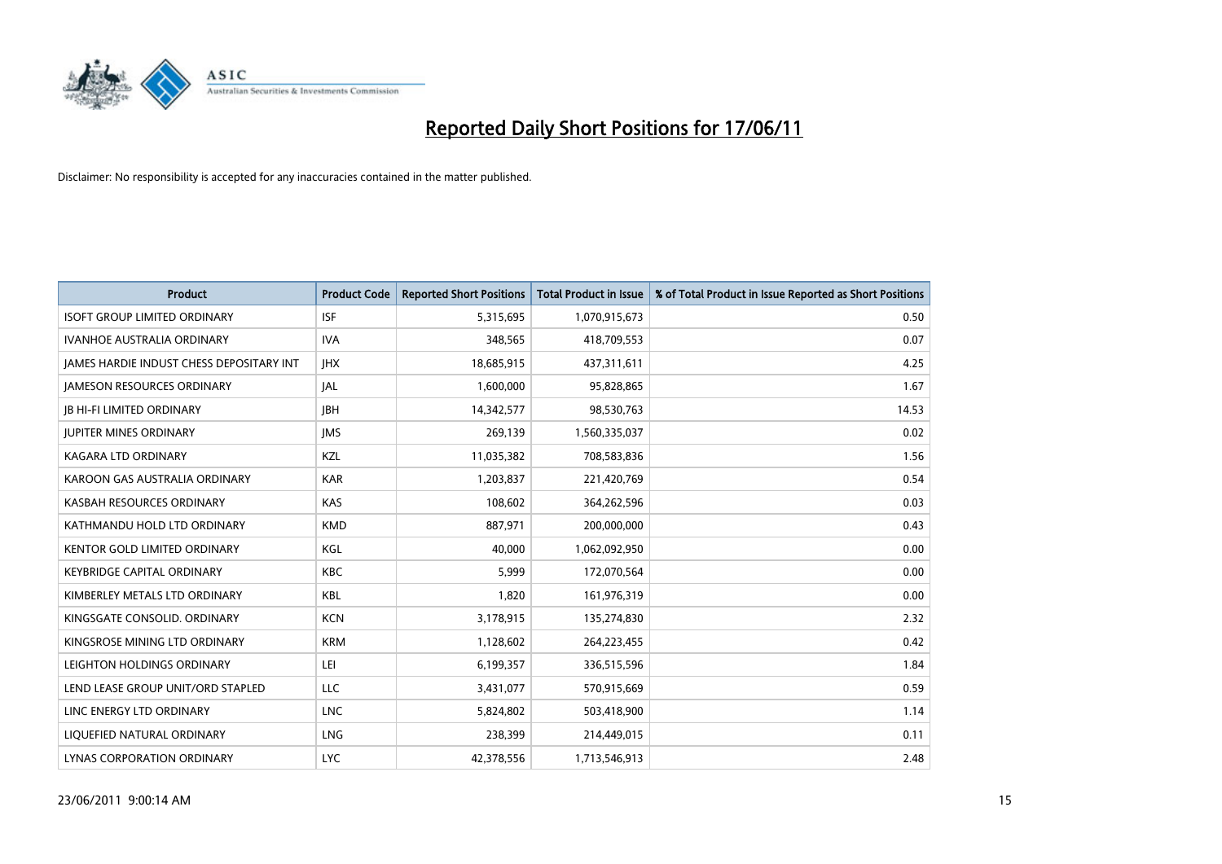

| <b>Product</b>                           | <b>Product Code</b> | <b>Reported Short Positions</b> | <b>Total Product in Issue</b> | % of Total Product in Issue Reported as Short Positions |
|------------------------------------------|---------------------|---------------------------------|-------------------------------|---------------------------------------------------------|
| <b>ISOFT GROUP LIMITED ORDINARY</b>      | <b>ISF</b>          | 5,315,695                       | 1,070,915,673                 | 0.50                                                    |
| <b>IVANHOE AUSTRALIA ORDINARY</b>        | <b>IVA</b>          | 348,565                         | 418,709,553                   | 0.07                                                    |
| JAMES HARDIE INDUST CHESS DEPOSITARY INT | <b>IHX</b>          | 18,685,915                      | 437,311,611                   | 4.25                                                    |
| <b>JAMESON RESOURCES ORDINARY</b>        | <b>JAL</b>          | 1,600,000                       | 95,828,865                    | 1.67                                                    |
| <b>IB HI-FI LIMITED ORDINARY</b>         | <b>IBH</b>          | 14,342,577                      | 98,530,763                    | 14.53                                                   |
| <b>JUPITER MINES ORDINARY</b>            | <b>IMS</b>          | 269,139                         | 1,560,335,037                 | 0.02                                                    |
| <b>KAGARA LTD ORDINARY</b>               | KZL                 | 11,035,382                      | 708,583,836                   | 1.56                                                    |
| KAROON GAS AUSTRALIA ORDINARY            | <b>KAR</b>          | 1,203,837                       | 221,420,769                   | 0.54                                                    |
| KASBAH RESOURCES ORDINARY                | <b>KAS</b>          | 108,602                         | 364,262,596                   | 0.03                                                    |
| KATHMANDU HOLD LTD ORDINARY              | <b>KMD</b>          | 887,971                         | 200,000,000                   | 0.43                                                    |
| KENTOR GOLD LIMITED ORDINARY             | KGL                 | 40,000                          | 1,062,092,950                 | 0.00                                                    |
| <b>KEYBRIDGE CAPITAL ORDINARY</b>        | <b>KBC</b>          | 5,999                           | 172,070,564                   | 0.00                                                    |
| KIMBERLEY METALS LTD ORDINARY            | <b>KBL</b>          | 1,820                           | 161,976,319                   | 0.00                                                    |
| KINGSGATE CONSOLID. ORDINARY             | <b>KCN</b>          | 3,178,915                       | 135,274,830                   | 2.32                                                    |
| KINGSROSE MINING LTD ORDINARY            | <b>KRM</b>          | 1,128,602                       | 264,223,455                   | 0.42                                                    |
| LEIGHTON HOLDINGS ORDINARY               | LEI                 | 6,199,357                       | 336,515,596                   | 1.84                                                    |
| LEND LEASE GROUP UNIT/ORD STAPLED        | LLC                 | 3,431,077                       | 570,915,669                   | 0.59                                                    |
| LINC ENERGY LTD ORDINARY                 | <b>LNC</b>          | 5,824,802                       | 503,418,900                   | 1.14                                                    |
| LIOUEFIED NATURAL ORDINARY               | <b>LNG</b>          | 238,399                         | 214,449,015                   | 0.11                                                    |
| LYNAS CORPORATION ORDINARY               | <b>LYC</b>          | 42.378.556                      | 1,713,546,913                 | 2.48                                                    |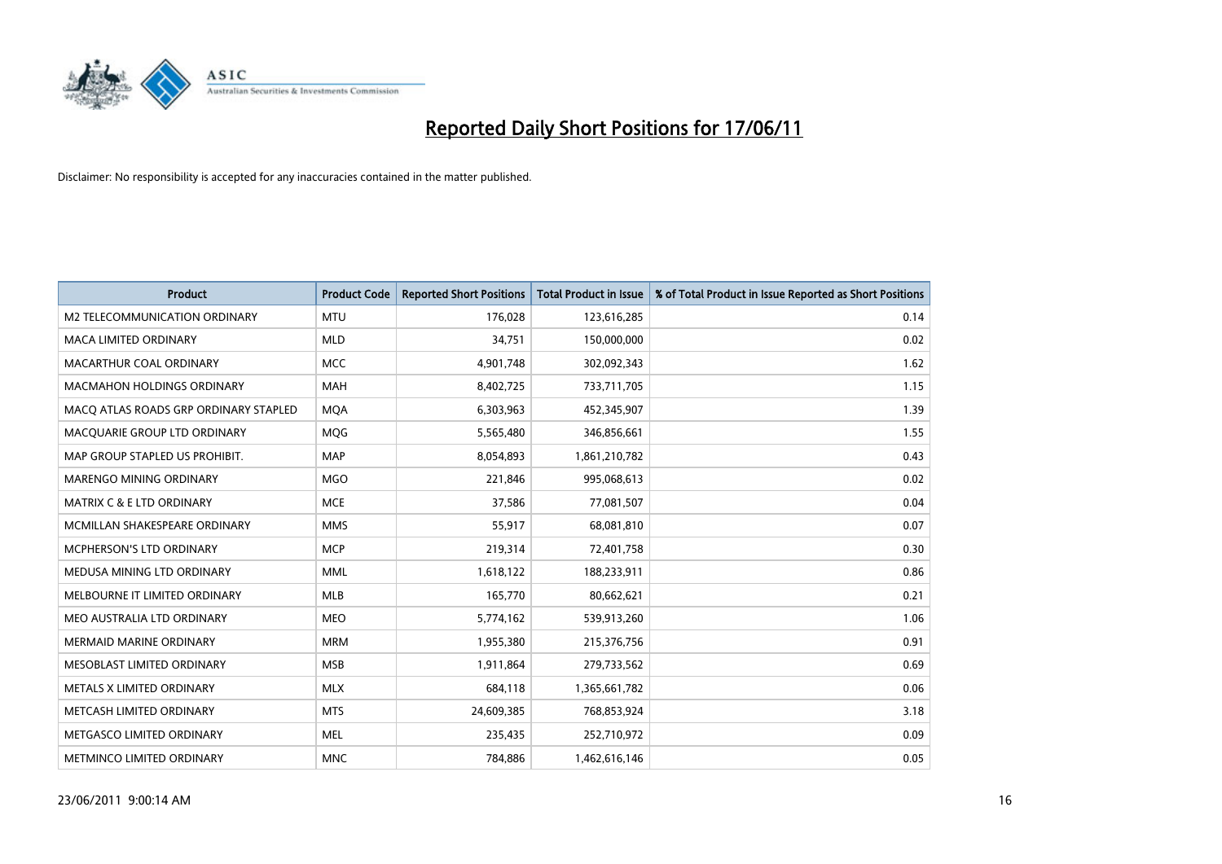

| <b>Product</b>                        | <b>Product Code</b> | <b>Reported Short Positions</b> | <b>Total Product in Issue</b> | % of Total Product in Issue Reported as Short Positions |
|---------------------------------------|---------------------|---------------------------------|-------------------------------|---------------------------------------------------------|
| M2 TELECOMMUNICATION ORDINARY         | <b>MTU</b>          | 176,028                         | 123,616,285                   | 0.14                                                    |
| MACA LIMITED ORDINARY                 | <b>MLD</b>          | 34,751                          | 150,000,000                   | 0.02                                                    |
| MACARTHUR COAL ORDINARY               | <b>MCC</b>          | 4,901,748                       | 302,092,343                   | 1.62                                                    |
| <b>MACMAHON HOLDINGS ORDINARY</b>     | <b>MAH</b>          | 8,402,725                       | 733,711,705                   | 1.15                                                    |
| MACQ ATLAS ROADS GRP ORDINARY STAPLED | <b>MOA</b>          | 6,303,963                       | 452,345,907                   | 1.39                                                    |
| MACQUARIE GROUP LTD ORDINARY          | <b>MOG</b>          | 5,565,480                       | 346,856,661                   | 1.55                                                    |
| MAP GROUP STAPLED US PROHIBIT.        | <b>MAP</b>          | 8,054,893                       | 1,861,210,782                 | 0.43                                                    |
| MARENGO MINING ORDINARY               | <b>MGO</b>          | 221,846                         | 995,068,613                   | 0.02                                                    |
| <b>MATRIX C &amp; E LTD ORDINARY</b>  | <b>MCE</b>          | 37,586                          | 77,081,507                    | 0.04                                                    |
| MCMILLAN SHAKESPEARE ORDINARY         | <b>MMS</b>          | 55,917                          | 68,081,810                    | 0.07                                                    |
| MCPHERSON'S LTD ORDINARY              | <b>MCP</b>          | 219,314                         | 72,401,758                    | 0.30                                                    |
| MEDUSA MINING LTD ORDINARY            | <b>MML</b>          | 1,618,122                       | 188,233,911                   | 0.86                                                    |
| MELBOURNE IT LIMITED ORDINARY         | <b>MLB</b>          | 165,770                         | 80,662,621                    | 0.21                                                    |
| MEO AUSTRALIA LTD ORDINARY            | <b>MEO</b>          | 5,774,162                       | 539,913,260                   | 1.06                                                    |
| <b>MERMAID MARINE ORDINARY</b>        | <b>MRM</b>          | 1,955,380                       | 215,376,756                   | 0.91                                                    |
| MESOBLAST LIMITED ORDINARY            | <b>MSB</b>          | 1,911,864                       | 279,733,562                   | 0.69                                                    |
| METALS X LIMITED ORDINARY             | <b>MLX</b>          | 684,118                         | 1,365,661,782                 | 0.06                                                    |
| METCASH LIMITED ORDINARY              | <b>MTS</b>          | 24,609,385                      | 768,853,924                   | 3.18                                                    |
| METGASCO LIMITED ORDINARY             | <b>MEL</b>          | 235,435                         | 252,710,972                   | 0.09                                                    |
| METMINCO LIMITED ORDINARY             | <b>MNC</b>          | 784,886                         | 1,462,616,146                 | 0.05                                                    |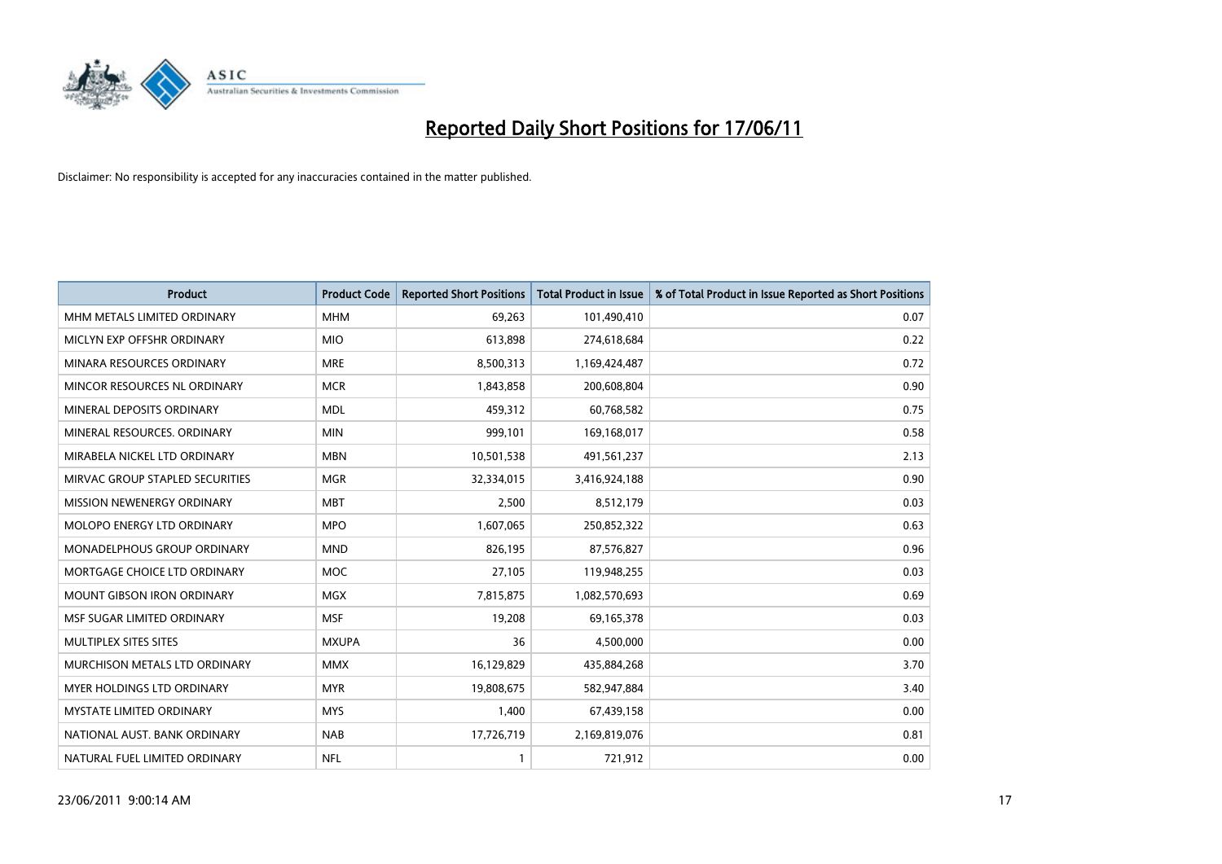

| <b>Product</b>                  | <b>Product Code</b> | <b>Reported Short Positions</b> | Total Product in Issue | % of Total Product in Issue Reported as Short Positions |
|---------------------------------|---------------------|---------------------------------|------------------------|---------------------------------------------------------|
| MHM METALS LIMITED ORDINARY     | <b>MHM</b>          | 69,263                          | 101,490,410            | 0.07                                                    |
| MICLYN EXP OFFSHR ORDINARY      | <b>MIO</b>          | 613,898                         | 274,618,684            | 0.22                                                    |
| MINARA RESOURCES ORDINARY       | <b>MRE</b>          | 8,500,313                       | 1,169,424,487          | 0.72                                                    |
| MINCOR RESOURCES NL ORDINARY    | <b>MCR</b>          | 1,843,858                       | 200,608,804            | 0.90                                                    |
| MINERAL DEPOSITS ORDINARY       | <b>MDL</b>          | 459,312                         | 60,768,582             | 0.75                                                    |
| MINERAL RESOURCES, ORDINARY     | <b>MIN</b>          | 999,101                         | 169,168,017            | 0.58                                                    |
| MIRABELA NICKEL LTD ORDINARY    | <b>MBN</b>          | 10,501,538                      | 491,561,237            | 2.13                                                    |
| MIRVAC GROUP STAPLED SECURITIES | <b>MGR</b>          | 32,334,015                      | 3,416,924,188          | 0.90                                                    |
| MISSION NEWENERGY ORDINARY      | <b>MBT</b>          | 2,500                           | 8,512,179              | 0.03                                                    |
| MOLOPO ENERGY LTD ORDINARY      | <b>MPO</b>          | 1,607,065                       | 250,852,322            | 0.63                                                    |
| MONADELPHOUS GROUP ORDINARY     | <b>MND</b>          | 826,195                         | 87,576,827             | 0.96                                                    |
| MORTGAGE CHOICE LTD ORDINARY    | <b>MOC</b>          | 27,105                          | 119,948,255            | 0.03                                                    |
| MOUNT GIBSON IRON ORDINARY      | <b>MGX</b>          | 7,815,875                       | 1,082,570,693          | 0.69                                                    |
| MSF SUGAR LIMITED ORDINARY      | <b>MSF</b>          | 19,208                          | 69,165,378             | 0.03                                                    |
| MULTIPLEX SITES SITES           | <b>MXUPA</b>        | 36                              | 4,500,000              | 0.00                                                    |
| MURCHISON METALS LTD ORDINARY   | <b>MMX</b>          | 16,129,829                      | 435,884,268            | 3.70                                                    |
| MYER HOLDINGS LTD ORDINARY      | <b>MYR</b>          | 19,808,675                      | 582,947,884            | 3.40                                                    |
| MYSTATE LIMITED ORDINARY        | <b>MYS</b>          | 1,400                           | 67,439,158             | 0.00                                                    |
| NATIONAL AUST. BANK ORDINARY    | <b>NAB</b>          | 17,726,719                      | 2,169,819,076          | 0.81                                                    |
| NATURAL FUEL LIMITED ORDINARY   | <b>NFL</b>          |                                 | 721,912                | 0.00                                                    |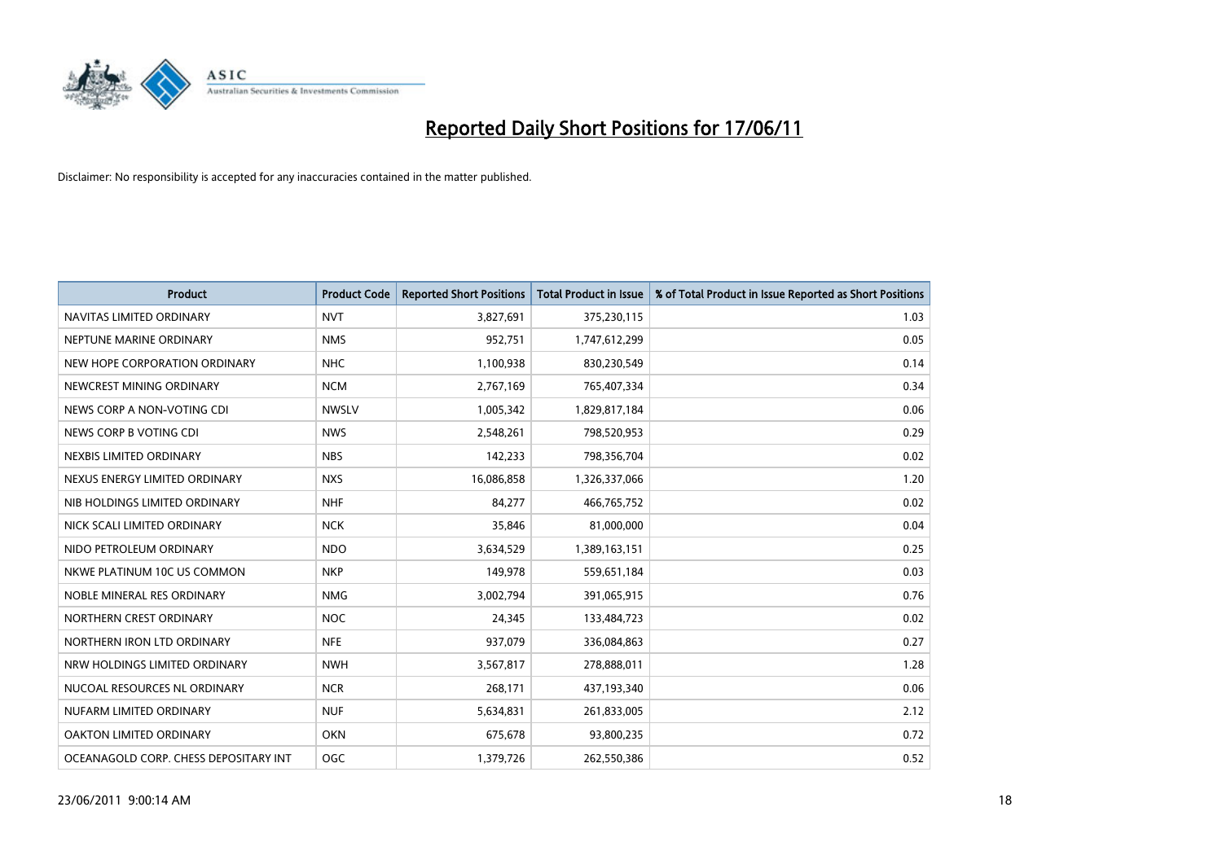

| <b>Product</b>                        | <b>Product Code</b> | <b>Reported Short Positions</b> | Total Product in Issue | % of Total Product in Issue Reported as Short Positions |
|---------------------------------------|---------------------|---------------------------------|------------------------|---------------------------------------------------------|
| NAVITAS LIMITED ORDINARY              | <b>NVT</b>          | 3,827,691                       | 375,230,115            | 1.03                                                    |
| NEPTUNE MARINE ORDINARY               | <b>NMS</b>          | 952,751                         | 1,747,612,299          | 0.05                                                    |
| NEW HOPE CORPORATION ORDINARY         | <b>NHC</b>          | 1,100,938                       | 830,230,549            | 0.14                                                    |
| NEWCREST MINING ORDINARY              | <b>NCM</b>          | 2,767,169                       | 765,407,334            | 0.34                                                    |
| NEWS CORP A NON-VOTING CDI            | <b>NWSLV</b>        | 1,005,342                       | 1,829,817,184          | 0.06                                                    |
| NEWS CORP B VOTING CDI                | <b>NWS</b>          | 2,548,261                       | 798,520,953            | 0.29                                                    |
| NEXBIS LIMITED ORDINARY               | <b>NBS</b>          | 142,233                         | 798,356,704            | 0.02                                                    |
| NEXUS ENERGY LIMITED ORDINARY         | <b>NXS</b>          | 16,086,858                      | 1,326,337,066          | 1.20                                                    |
| NIB HOLDINGS LIMITED ORDINARY         | <b>NHF</b>          | 84,277                          | 466,765,752            | 0.02                                                    |
| NICK SCALI LIMITED ORDINARY           | <b>NCK</b>          | 35,846                          | 81,000,000             | 0.04                                                    |
| NIDO PETROLEUM ORDINARY               | <b>NDO</b>          | 3,634,529                       | 1,389,163,151          | 0.25                                                    |
| NKWE PLATINUM 10C US COMMON           | <b>NKP</b>          | 149,978                         | 559,651,184            | 0.03                                                    |
| NOBLE MINERAL RES ORDINARY            | <b>NMG</b>          | 3,002,794                       | 391,065,915            | 0.76                                                    |
| NORTHERN CREST ORDINARY               | <b>NOC</b>          | 24,345                          | 133,484,723            | 0.02                                                    |
| NORTHERN IRON LTD ORDINARY            | <b>NFE</b>          | 937,079                         | 336,084,863            | 0.27                                                    |
| NRW HOLDINGS LIMITED ORDINARY         | <b>NWH</b>          | 3,567,817                       | 278,888,011            | 1.28                                                    |
| NUCOAL RESOURCES NL ORDINARY          | <b>NCR</b>          | 268,171                         | 437,193,340            | 0.06                                                    |
| NUFARM LIMITED ORDINARY               | <b>NUF</b>          | 5,634,831                       | 261,833,005            | 2.12                                                    |
| OAKTON LIMITED ORDINARY               | <b>OKN</b>          | 675,678                         | 93,800,235             | 0.72                                                    |
| OCEANAGOLD CORP. CHESS DEPOSITARY INT | <b>OGC</b>          | 1,379,726                       | 262,550,386            | 0.52                                                    |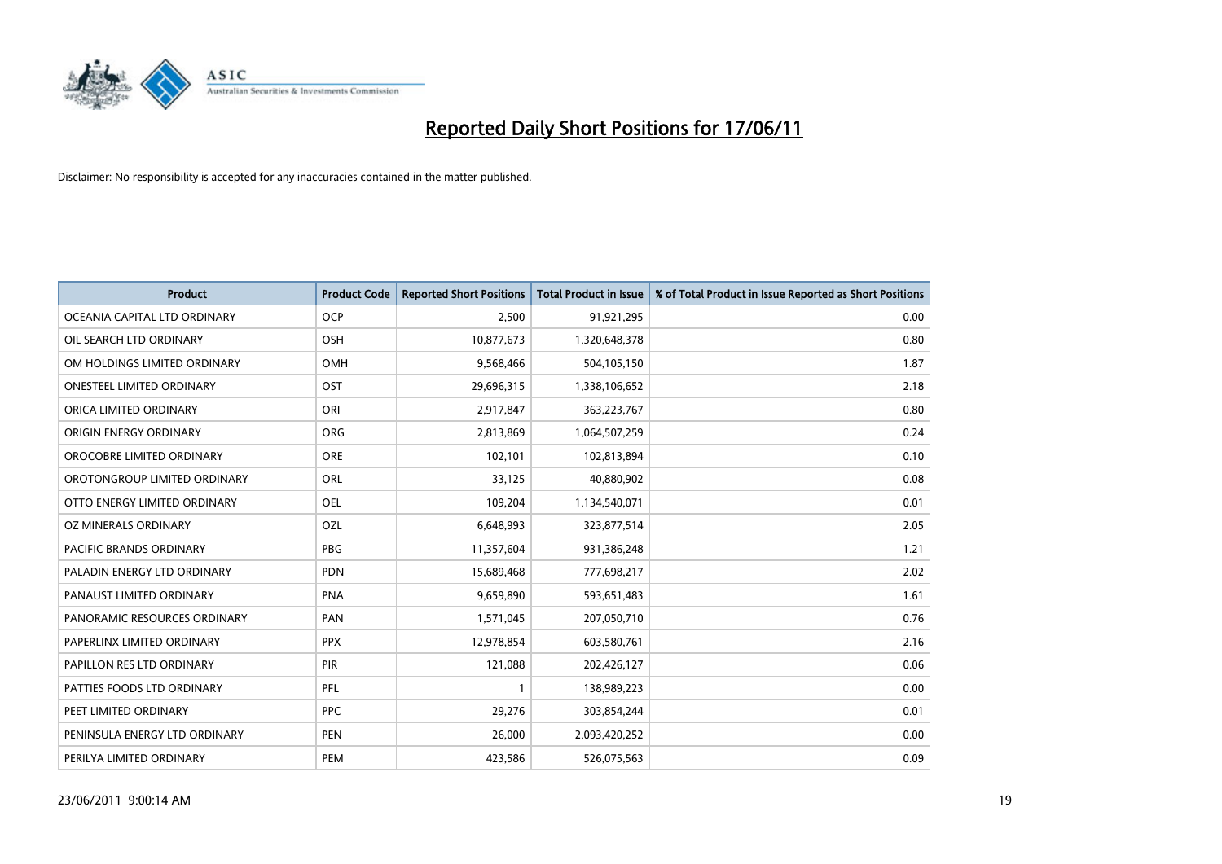

| <b>Product</b>                | <b>Product Code</b> | <b>Reported Short Positions</b> | <b>Total Product in Issue</b> | % of Total Product in Issue Reported as Short Positions |
|-------------------------------|---------------------|---------------------------------|-------------------------------|---------------------------------------------------------|
| OCEANIA CAPITAL LTD ORDINARY  | <b>OCP</b>          | 2,500                           | 91,921,295                    | 0.00                                                    |
| OIL SEARCH LTD ORDINARY       | <b>OSH</b>          | 10,877,673                      | 1,320,648,378                 | 0.80                                                    |
| OM HOLDINGS LIMITED ORDINARY  | <b>OMH</b>          | 9,568,466                       | 504,105,150                   | 1.87                                                    |
| ONESTEEL LIMITED ORDINARY     | OST                 | 29,696,315                      | 1,338,106,652                 | 2.18                                                    |
| ORICA LIMITED ORDINARY        | ORI                 | 2,917,847                       | 363,223,767                   | 0.80                                                    |
| ORIGIN ENERGY ORDINARY        | <b>ORG</b>          | 2,813,869                       | 1,064,507,259                 | 0.24                                                    |
| OROCOBRE LIMITED ORDINARY     | <b>ORE</b>          | 102,101                         | 102,813,894                   | 0.10                                                    |
| OROTONGROUP LIMITED ORDINARY  | ORL                 | 33,125                          | 40,880,902                    | 0.08                                                    |
| OTTO ENERGY LIMITED ORDINARY  | <b>OEL</b>          | 109,204                         | 1,134,540,071                 | 0.01                                                    |
| OZ MINERALS ORDINARY          | OZL                 | 6,648,993                       | 323,877,514                   | 2.05                                                    |
| PACIFIC BRANDS ORDINARY       | <b>PBG</b>          | 11,357,604                      | 931,386,248                   | 1.21                                                    |
| PALADIN ENERGY LTD ORDINARY   | <b>PDN</b>          | 15,689,468                      | 777,698,217                   | 2.02                                                    |
| PANAUST LIMITED ORDINARY      | <b>PNA</b>          | 9,659,890                       | 593,651,483                   | 1.61                                                    |
| PANORAMIC RESOURCES ORDINARY  | PAN                 | 1,571,045                       | 207,050,710                   | 0.76                                                    |
| PAPERLINX LIMITED ORDINARY    | <b>PPX</b>          | 12,978,854                      | 603,580,761                   | 2.16                                                    |
| PAPILLON RES LTD ORDINARY     | PIR                 | 121,088                         | 202,426,127                   | 0.06                                                    |
| PATTIES FOODS LTD ORDINARY    | PFL                 |                                 | 138,989,223                   | 0.00                                                    |
| PEET LIMITED ORDINARY         | <b>PPC</b>          | 29,276                          | 303,854,244                   | 0.01                                                    |
| PENINSULA ENERGY LTD ORDINARY | <b>PEN</b>          | 26,000                          | 2,093,420,252                 | 0.00                                                    |
| PERILYA LIMITED ORDINARY      | PEM                 | 423,586                         | 526,075,563                   | 0.09                                                    |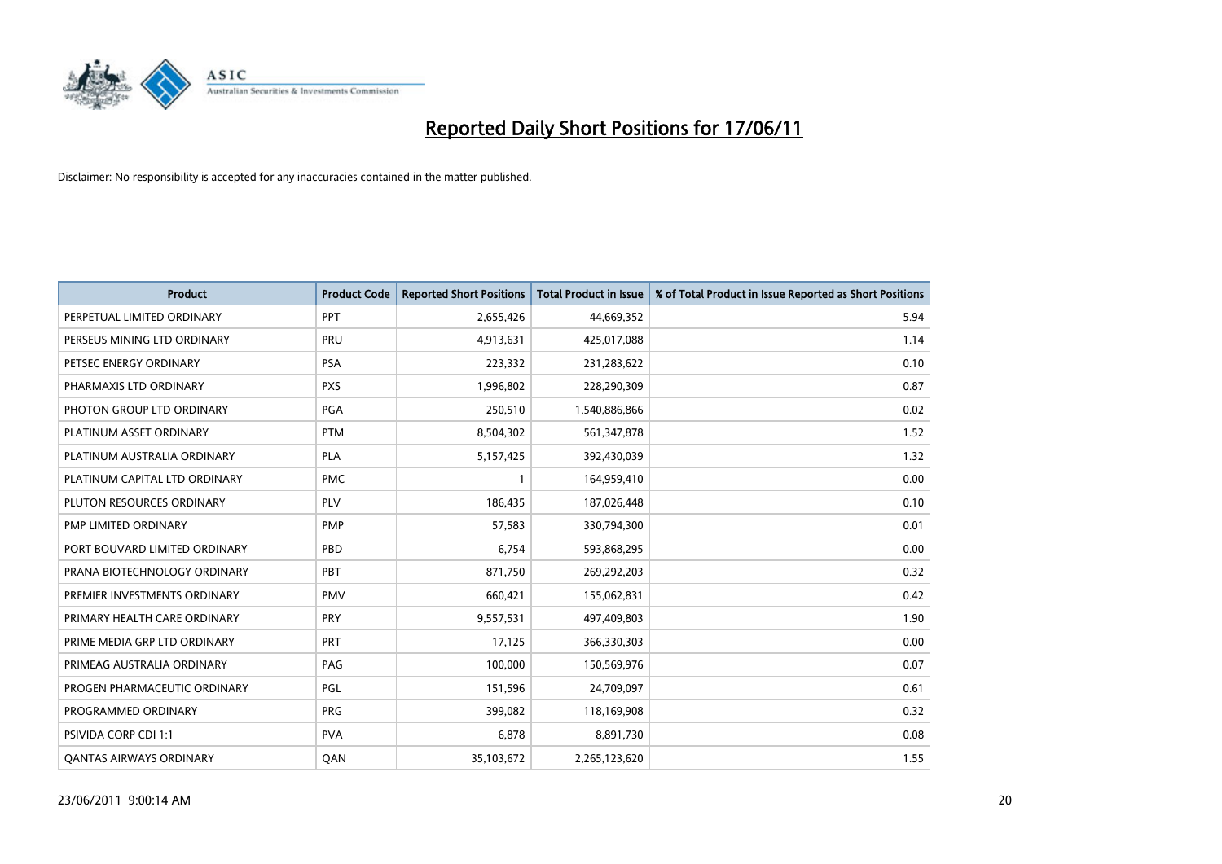

| <b>Product</b>                 | <b>Product Code</b> | <b>Reported Short Positions</b> | <b>Total Product in Issue</b> | % of Total Product in Issue Reported as Short Positions |
|--------------------------------|---------------------|---------------------------------|-------------------------------|---------------------------------------------------------|
| PERPETUAL LIMITED ORDINARY     | PPT                 | 2,655,426                       | 44,669,352                    | 5.94                                                    |
| PERSEUS MINING LTD ORDINARY    | PRU                 | 4,913,631                       | 425,017,088                   | 1.14                                                    |
| PETSEC ENERGY ORDINARY         | <b>PSA</b>          | 223,332                         | 231,283,622                   | 0.10                                                    |
| PHARMAXIS LTD ORDINARY         | <b>PXS</b>          | 1,996,802                       | 228,290,309                   | 0.87                                                    |
| PHOTON GROUP LTD ORDINARY      | PGA                 | 250,510                         | 1,540,886,866                 | 0.02                                                    |
| PLATINUM ASSET ORDINARY        | <b>PTM</b>          | 8,504,302                       | 561,347,878                   | 1.52                                                    |
| PLATINUM AUSTRALIA ORDINARY    | PLA                 | 5,157,425                       | 392,430,039                   | 1.32                                                    |
| PLATINUM CAPITAL LTD ORDINARY  | <b>PMC</b>          |                                 | 164,959,410                   | 0.00                                                    |
| PLUTON RESOURCES ORDINARY      | PLV                 | 186,435                         | 187,026,448                   | 0.10                                                    |
| PMP LIMITED ORDINARY           | <b>PMP</b>          | 57,583                          | 330,794,300                   | 0.01                                                    |
| PORT BOUVARD LIMITED ORDINARY  | PBD                 | 6,754                           | 593,868,295                   | 0.00                                                    |
| PRANA BIOTECHNOLOGY ORDINARY   | PBT                 | 871,750                         | 269,292,203                   | 0.32                                                    |
| PREMIER INVESTMENTS ORDINARY   | <b>PMV</b>          | 660,421                         | 155,062,831                   | 0.42                                                    |
| PRIMARY HEALTH CARE ORDINARY   | <b>PRY</b>          | 9,557,531                       | 497,409,803                   | 1.90                                                    |
| PRIME MEDIA GRP LTD ORDINARY   | <b>PRT</b>          | 17,125                          | 366,330,303                   | 0.00                                                    |
| PRIMEAG AUSTRALIA ORDINARY     | PAG                 | 100,000                         | 150,569,976                   | 0.07                                                    |
| PROGEN PHARMACEUTIC ORDINARY   | PGL                 | 151,596                         | 24,709,097                    | 0.61                                                    |
| PROGRAMMED ORDINARY            | <b>PRG</b>          | 399,082                         | 118,169,908                   | 0.32                                                    |
| PSIVIDA CORP CDI 1:1           | <b>PVA</b>          | 6,878                           | 8,891,730                     | 0.08                                                    |
| <b>QANTAS AIRWAYS ORDINARY</b> | QAN                 | 35,103,672                      | 2,265,123,620                 | 1.55                                                    |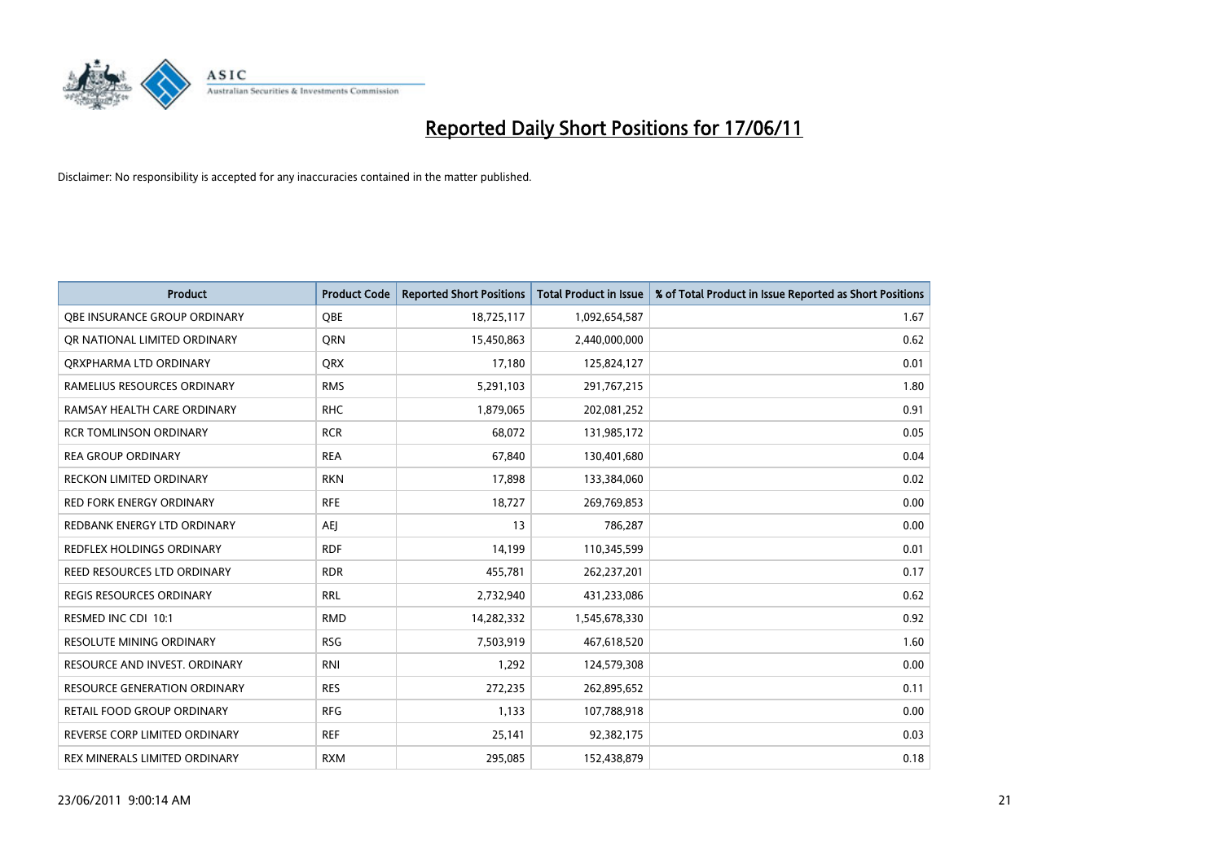

| <b>Product</b>                      | <b>Product Code</b> | <b>Reported Short Positions</b> | <b>Total Product in Issue</b> | % of Total Product in Issue Reported as Short Positions |
|-------------------------------------|---------------------|---------------------------------|-------------------------------|---------------------------------------------------------|
| OBE INSURANCE GROUP ORDINARY        | OBE                 | 18,725,117                      | 1,092,654,587                 | 1.67                                                    |
| OR NATIONAL LIMITED ORDINARY        | <b>ORN</b>          | 15,450,863                      | 2,440,000,000                 | 0.62                                                    |
| ORXPHARMA LTD ORDINARY              | <b>ORX</b>          | 17,180                          | 125,824,127                   | 0.01                                                    |
| RAMELIUS RESOURCES ORDINARY         | <b>RMS</b>          | 5,291,103                       | 291,767,215                   | 1.80                                                    |
| RAMSAY HEALTH CARE ORDINARY         | <b>RHC</b>          | 1,879,065                       | 202,081,252                   | 0.91                                                    |
| <b>RCR TOMLINSON ORDINARY</b>       | <b>RCR</b>          | 68.072                          | 131,985,172                   | 0.05                                                    |
| <b>REA GROUP ORDINARY</b>           | <b>REA</b>          | 67,840                          | 130,401,680                   | 0.04                                                    |
| RECKON LIMITED ORDINARY             | <b>RKN</b>          | 17,898                          | 133,384,060                   | 0.02                                                    |
| RED FORK ENERGY ORDINARY            | <b>RFE</b>          | 18,727                          | 269,769,853                   | 0.00                                                    |
| REDBANK ENERGY LTD ORDINARY         | <b>AEI</b>          | 13                              | 786,287                       | 0.00                                                    |
| REDFLEX HOLDINGS ORDINARY           | <b>RDF</b>          | 14,199                          | 110,345,599                   | 0.01                                                    |
| REED RESOURCES LTD ORDINARY         | <b>RDR</b>          | 455,781                         | 262,237,201                   | 0.17                                                    |
| <b>REGIS RESOURCES ORDINARY</b>     | <b>RRL</b>          | 2,732,940                       | 431,233,086                   | 0.62                                                    |
| RESMED INC CDI 10:1                 | <b>RMD</b>          | 14,282,332                      | 1,545,678,330                 | 0.92                                                    |
| <b>RESOLUTE MINING ORDINARY</b>     | <b>RSG</b>          | 7,503,919                       | 467,618,520                   | 1.60                                                    |
| RESOURCE AND INVEST. ORDINARY       | <b>RNI</b>          | 1,292                           | 124,579,308                   | 0.00                                                    |
| <b>RESOURCE GENERATION ORDINARY</b> | <b>RES</b>          | 272,235                         | 262,895,652                   | 0.11                                                    |
| RETAIL FOOD GROUP ORDINARY          | <b>RFG</b>          | 1,133                           | 107,788,918                   | 0.00                                                    |
| REVERSE CORP LIMITED ORDINARY       | <b>REF</b>          | 25,141                          | 92,382,175                    | 0.03                                                    |
| REX MINERALS LIMITED ORDINARY       | <b>RXM</b>          | 295,085                         | 152,438,879                   | 0.18                                                    |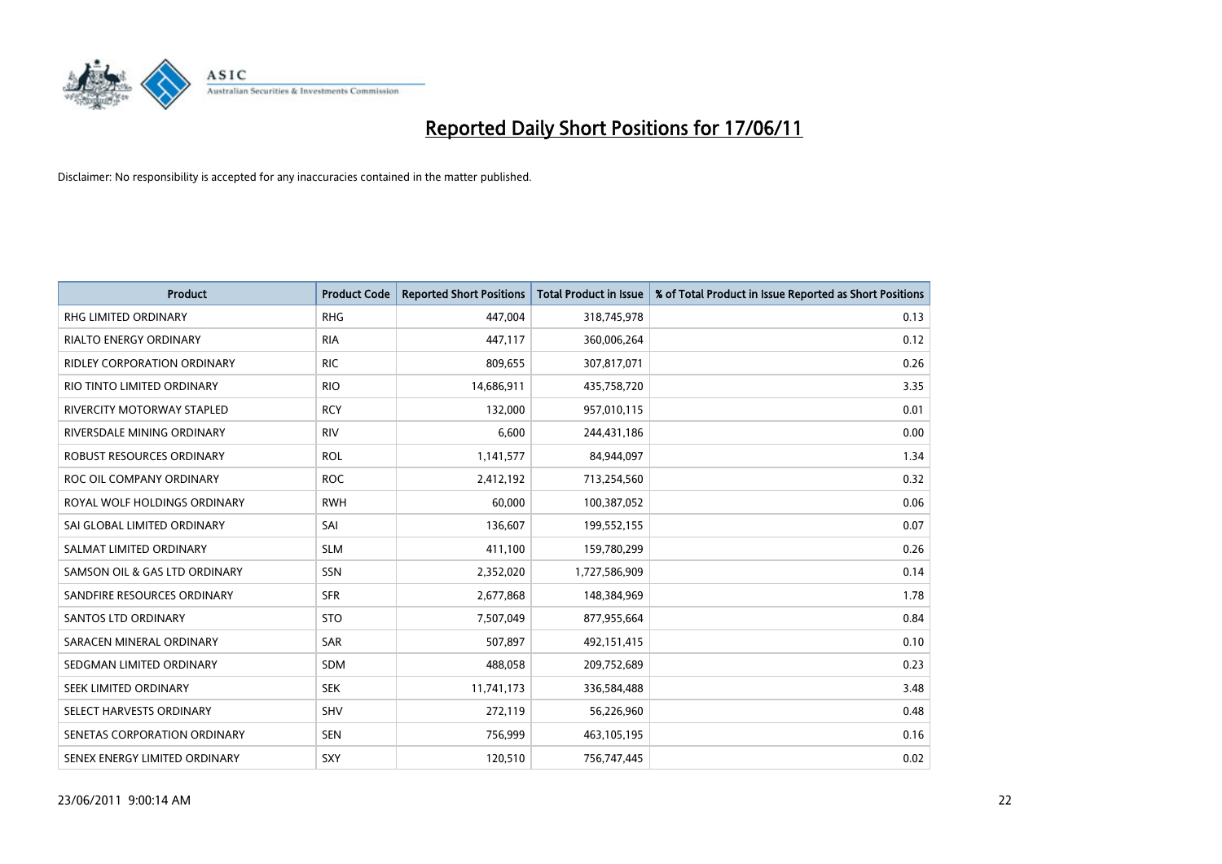

| <b>Product</b>                     | <b>Product Code</b> | <b>Reported Short Positions</b> | Total Product in Issue | % of Total Product in Issue Reported as Short Positions |
|------------------------------------|---------------------|---------------------------------|------------------------|---------------------------------------------------------|
| <b>RHG LIMITED ORDINARY</b>        | <b>RHG</b>          | 447,004                         | 318,745,978            | 0.13                                                    |
| RIALTO ENERGY ORDINARY             | <b>RIA</b>          | 447,117                         | 360,006,264            | 0.12                                                    |
| <b>RIDLEY CORPORATION ORDINARY</b> | <b>RIC</b>          | 809,655                         | 307,817,071            | 0.26                                                    |
| RIO TINTO LIMITED ORDINARY         | <b>RIO</b>          | 14,686,911                      | 435,758,720            | 3.35                                                    |
| <b>RIVERCITY MOTORWAY STAPLED</b>  | <b>RCY</b>          | 132,000                         | 957,010,115            | 0.01                                                    |
| RIVERSDALE MINING ORDINARY         | <b>RIV</b>          | 6,600                           | 244,431,186            | 0.00                                                    |
| ROBUST RESOURCES ORDINARY          | <b>ROL</b>          | 1,141,577                       | 84,944,097             | 1.34                                                    |
| ROC OIL COMPANY ORDINARY           | <b>ROC</b>          | 2,412,192                       | 713,254,560            | 0.32                                                    |
| ROYAL WOLF HOLDINGS ORDINARY       | <b>RWH</b>          | 60,000                          | 100,387,052            | 0.06                                                    |
| SAI GLOBAL LIMITED ORDINARY        | SAI                 | 136,607                         | 199,552,155            | 0.07                                                    |
| SALMAT LIMITED ORDINARY            | <b>SLM</b>          | 411,100                         | 159,780,299            | 0.26                                                    |
| SAMSON OIL & GAS LTD ORDINARY      | <b>SSN</b>          | 2,352,020                       | 1,727,586,909          | 0.14                                                    |
| SANDFIRE RESOURCES ORDINARY        | <b>SFR</b>          | 2,677,868                       | 148,384,969            | 1.78                                                    |
| <b>SANTOS LTD ORDINARY</b>         | <b>STO</b>          | 7,507,049                       | 877,955,664            | 0.84                                                    |
| SARACEN MINERAL ORDINARY           | <b>SAR</b>          | 507,897                         | 492,151,415            | 0.10                                                    |
| SEDGMAN LIMITED ORDINARY           | <b>SDM</b>          | 488,058                         | 209,752,689            | 0.23                                                    |
| SEEK LIMITED ORDINARY              | <b>SEK</b>          | 11,741,173                      | 336,584,488            | 3.48                                                    |
| SELECT HARVESTS ORDINARY           | <b>SHV</b>          | 272,119                         | 56,226,960             | 0.48                                                    |
| SENETAS CORPORATION ORDINARY       | <b>SEN</b>          | 756,999                         | 463,105,195            | 0.16                                                    |
| SENEX ENERGY LIMITED ORDINARY      | SXY                 | 120,510                         | 756,747,445            | 0.02                                                    |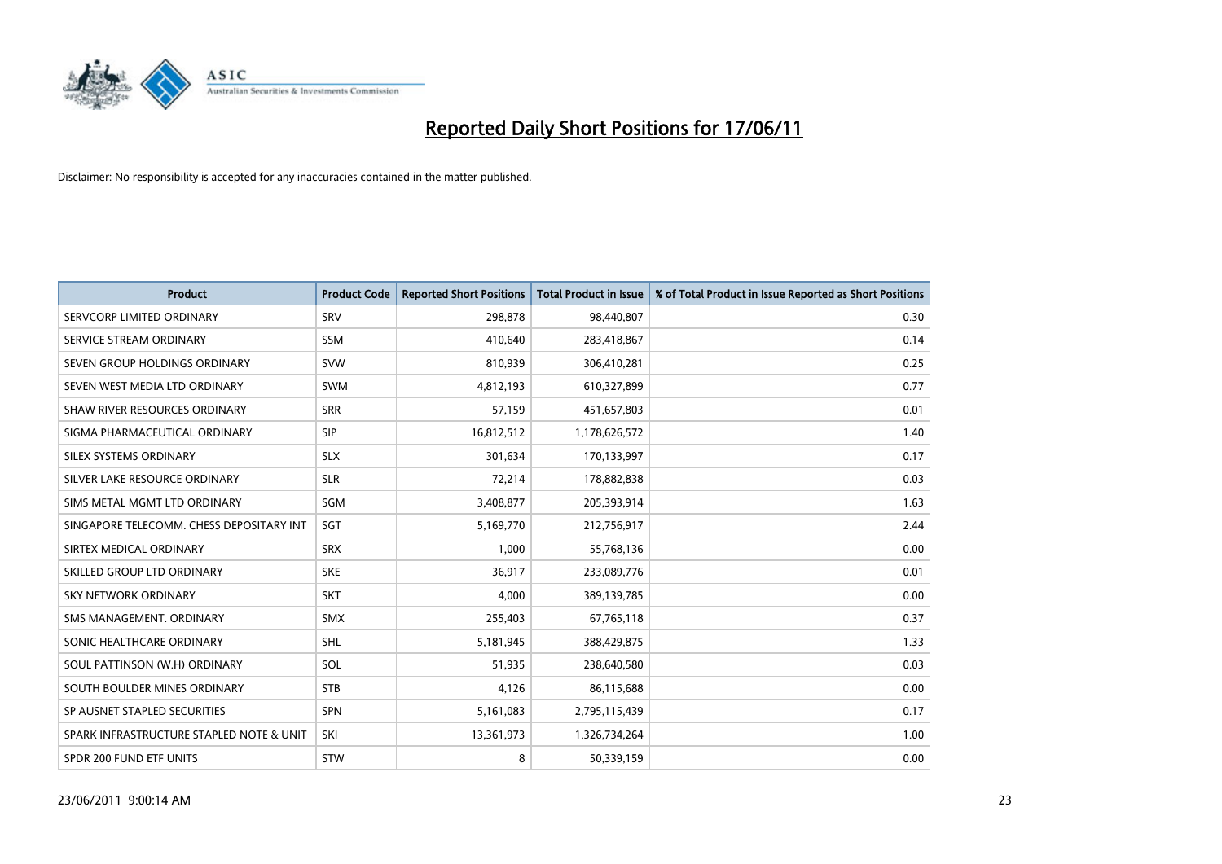

| <b>Product</b>                           | <b>Product Code</b> | <b>Reported Short Positions</b> | <b>Total Product in Issue</b> | % of Total Product in Issue Reported as Short Positions |
|------------------------------------------|---------------------|---------------------------------|-------------------------------|---------------------------------------------------------|
| SERVCORP LIMITED ORDINARY                | SRV                 | 298,878                         | 98,440,807                    | 0.30                                                    |
| SERVICE STREAM ORDINARY                  | <b>SSM</b>          | 410,640                         | 283,418,867                   | 0.14                                                    |
| SEVEN GROUP HOLDINGS ORDINARY            | <b>SVW</b>          | 810,939                         | 306,410,281                   | 0.25                                                    |
| SEVEN WEST MEDIA LTD ORDINARY            | <b>SWM</b>          | 4,812,193                       | 610,327,899                   | 0.77                                                    |
| SHAW RIVER RESOURCES ORDINARY            | <b>SRR</b>          | 57,159                          | 451,657,803                   | 0.01                                                    |
| SIGMA PHARMACEUTICAL ORDINARY            | <b>SIP</b>          | 16,812,512                      | 1,178,626,572                 | 1.40                                                    |
| SILEX SYSTEMS ORDINARY                   | <b>SLX</b>          | 301,634                         | 170,133,997                   | 0.17                                                    |
| SILVER LAKE RESOURCE ORDINARY            | <b>SLR</b>          | 72,214                          | 178,882,838                   | 0.03                                                    |
| SIMS METAL MGMT LTD ORDINARY             | SGM                 | 3,408,877                       | 205,393,914                   | 1.63                                                    |
| SINGAPORE TELECOMM. CHESS DEPOSITARY INT | SGT                 | 5,169,770                       | 212,756,917                   | 2.44                                                    |
| SIRTEX MEDICAL ORDINARY                  | <b>SRX</b>          | 1,000                           | 55,768,136                    | 0.00                                                    |
| SKILLED GROUP LTD ORDINARY               | <b>SKE</b>          | 36,917                          | 233,089,776                   | 0.01                                                    |
| SKY NETWORK ORDINARY                     | SKT                 | 4,000                           | 389,139,785                   | 0.00                                                    |
| SMS MANAGEMENT, ORDINARY                 | SMX                 | 255,403                         | 67,765,118                    | 0.37                                                    |
| SONIC HEALTHCARE ORDINARY                | <b>SHL</b>          | 5,181,945                       | 388,429,875                   | 1.33                                                    |
| SOUL PATTINSON (W.H) ORDINARY            | SOL                 | 51,935                          | 238,640,580                   | 0.03                                                    |
| SOUTH BOULDER MINES ORDINARY             | <b>STB</b>          | 4,126                           | 86,115,688                    | 0.00                                                    |
| SP AUSNET STAPLED SECURITIES             | SPN                 | 5,161,083                       | 2,795,115,439                 | 0.17                                                    |
| SPARK INFRASTRUCTURE STAPLED NOTE & UNIT | SKI                 | 13,361,973                      | 1,326,734,264                 | 1.00                                                    |
| SPDR 200 FUND ETF UNITS                  | <b>STW</b>          | 8                               | 50,339,159                    | 0.00                                                    |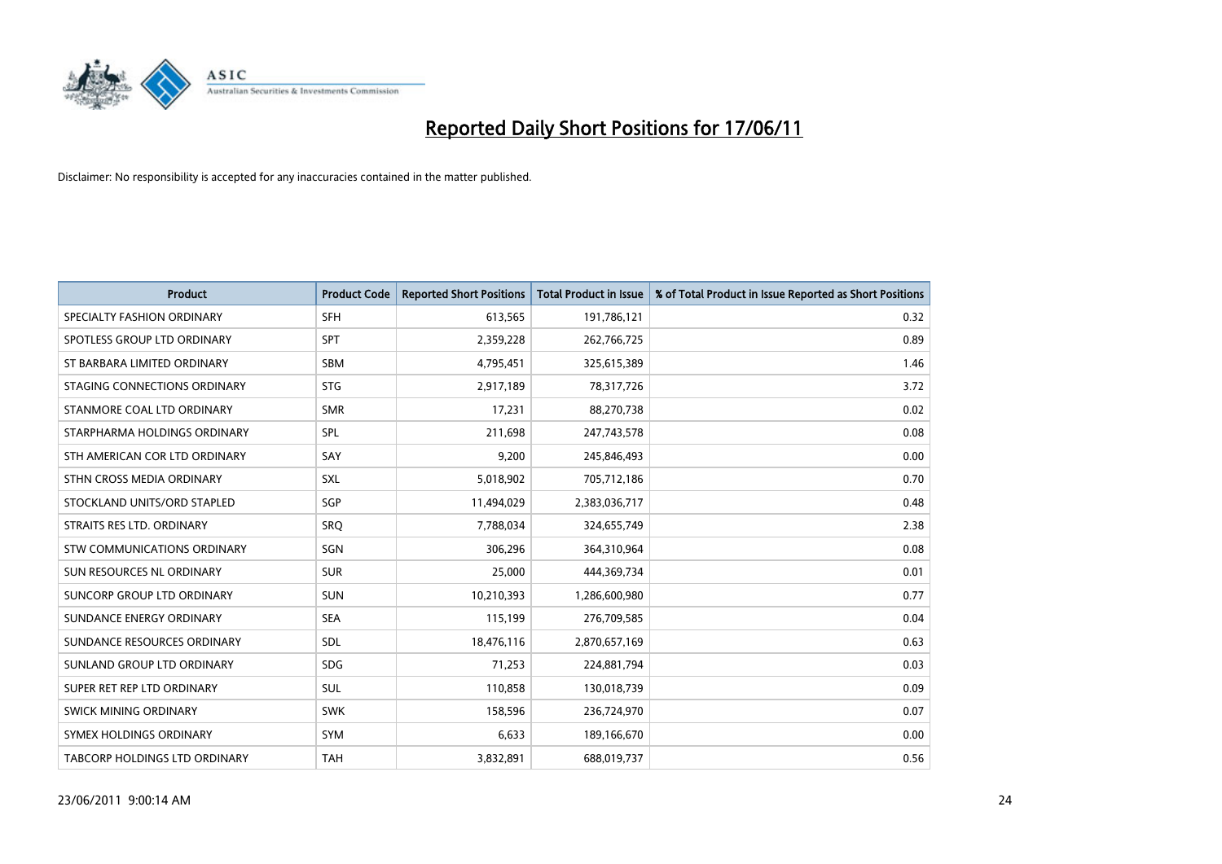

| <b>Product</b>                | <b>Product Code</b> | <b>Reported Short Positions</b> | <b>Total Product in Issue</b> | % of Total Product in Issue Reported as Short Positions |
|-------------------------------|---------------------|---------------------------------|-------------------------------|---------------------------------------------------------|
| SPECIALTY FASHION ORDINARY    | <b>SFH</b>          | 613,565                         | 191,786,121                   | 0.32                                                    |
| SPOTLESS GROUP LTD ORDINARY   | <b>SPT</b>          | 2,359,228                       | 262,766,725                   | 0.89                                                    |
| ST BARBARA LIMITED ORDINARY   | SBM                 | 4,795,451                       | 325,615,389                   | 1.46                                                    |
| STAGING CONNECTIONS ORDINARY  | <b>STG</b>          | 2,917,189                       | 78,317,726                    | 3.72                                                    |
| STANMORE COAL LTD ORDINARY    | <b>SMR</b>          | 17,231                          | 88,270,738                    | 0.02                                                    |
| STARPHARMA HOLDINGS ORDINARY  | <b>SPL</b>          | 211,698                         | 247,743,578                   | 0.08                                                    |
| STH AMERICAN COR LTD ORDINARY | SAY                 | 9,200                           | 245,846,493                   | 0.00                                                    |
| STHN CROSS MEDIA ORDINARY     | SXL                 | 5,018,902                       | 705,712,186                   | 0.70                                                    |
| STOCKLAND UNITS/ORD STAPLED   | <b>SGP</b>          | 11,494,029                      | 2,383,036,717                 | 0.48                                                    |
| STRAITS RES LTD. ORDINARY     | SRO                 | 7,788,034                       | 324,655,749                   | 2.38                                                    |
| STW COMMUNICATIONS ORDINARY   | SGN                 | 306,296                         | 364,310,964                   | 0.08                                                    |
| SUN RESOURCES NL ORDINARY     | <b>SUR</b>          | 25,000                          | 444,369,734                   | 0.01                                                    |
| SUNCORP GROUP LTD ORDINARY    | <b>SUN</b>          | 10,210,393                      | 1,286,600,980                 | 0.77                                                    |
| SUNDANCE ENERGY ORDINARY      | <b>SEA</b>          | 115,199                         | 276,709,585                   | 0.04                                                    |
| SUNDANCE RESOURCES ORDINARY   | <b>SDL</b>          | 18,476,116                      | 2,870,657,169                 | 0.63                                                    |
| SUNLAND GROUP LTD ORDINARY    | <b>SDG</b>          | 71,253                          | 224,881,794                   | 0.03                                                    |
| SUPER RET REP LTD ORDINARY    | SUL                 | 110,858                         | 130,018,739                   | 0.09                                                    |
| SWICK MINING ORDINARY         | <b>SWK</b>          | 158,596                         | 236,724,970                   | 0.07                                                    |
| SYMEX HOLDINGS ORDINARY       | <b>SYM</b>          | 6,633                           | 189,166,670                   | 0.00                                                    |
| TABCORP HOLDINGS LTD ORDINARY | <b>TAH</b>          | 3,832,891                       | 688,019,737                   | 0.56                                                    |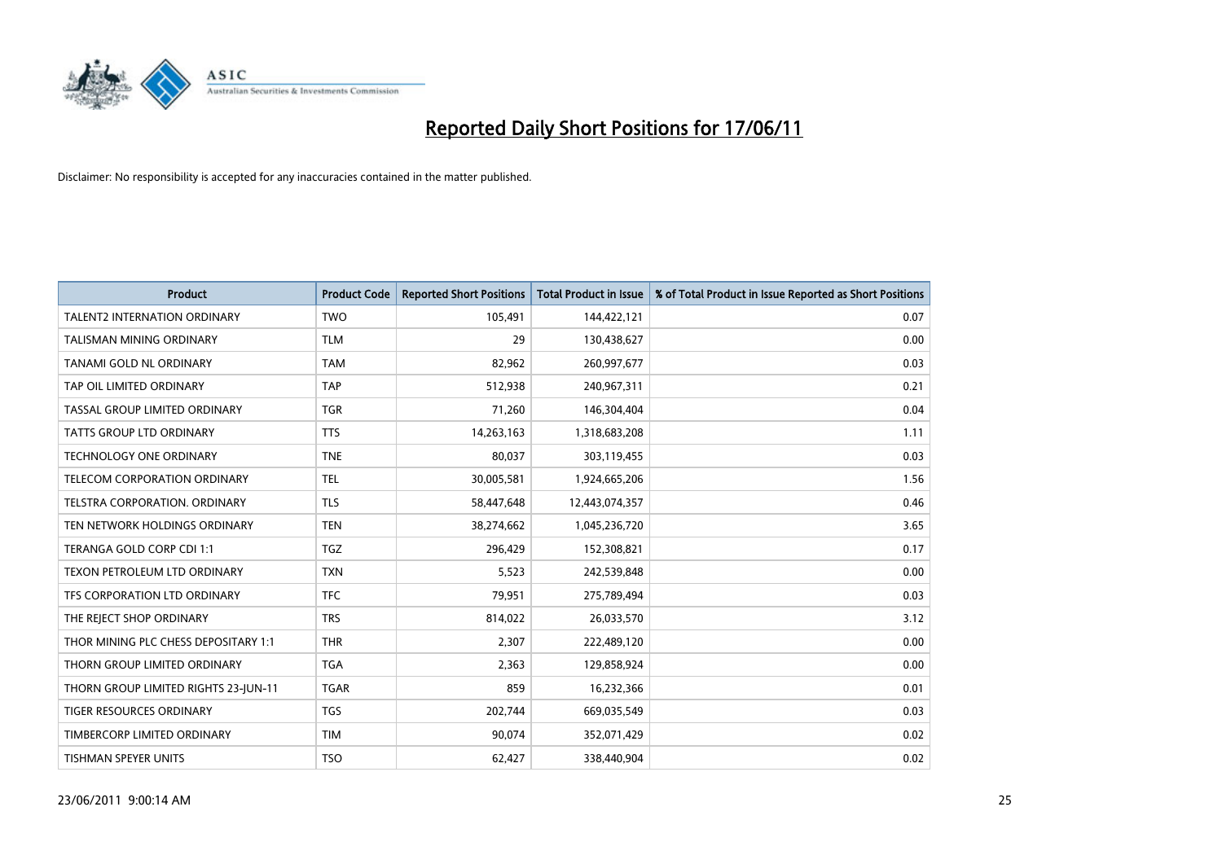

| <b>Product</b>                       | <b>Product Code</b> | <b>Reported Short Positions</b> | <b>Total Product in Issue</b> | % of Total Product in Issue Reported as Short Positions |
|--------------------------------------|---------------------|---------------------------------|-------------------------------|---------------------------------------------------------|
| <b>TALENT2 INTERNATION ORDINARY</b>  | <b>TWO</b>          | 105,491                         | 144,422,121                   | 0.07                                                    |
| TALISMAN MINING ORDINARY             | <b>TLM</b>          | 29                              | 130,438,627                   | 0.00                                                    |
| TANAMI GOLD NL ORDINARY              | <b>TAM</b>          | 82.962                          | 260,997,677                   | 0.03                                                    |
| TAP OIL LIMITED ORDINARY             | <b>TAP</b>          | 512,938                         | 240,967,311                   | 0.21                                                    |
| TASSAL GROUP LIMITED ORDINARY        | <b>TGR</b>          | 71,260                          | 146,304,404                   | 0.04                                                    |
| <b>TATTS GROUP LTD ORDINARY</b>      | <b>TTS</b>          | 14,263,163                      | 1,318,683,208                 | 1.11                                                    |
| <b>TECHNOLOGY ONE ORDINARY</b>       | <b>TNE</b>          | 80,037                          | 303,119,455                   | 0.03                                                    |
| TELECOM CORPORATION ORDINARY         | <b>TEL</b>          | 30,005,581                      | 1,924,665,206                 | 1.56                                                    |
| TELSTRA CORPORATION, ORDINARY        | <b>TLS</b>          | 58,447,648                      | 12,443,074,357                | 0.46                                                    |
| TEN NETWORK HOLDINGS ORDINARY        | <b>TEN</b>          | 38,274,662                      | 1,045,236,720                 | 3.65                                                    |
| TERANGA GOLD CORP CDI 1:1            | <b>TGZ</b>          | 296,429                         | 152,308,821                   | 0.17                                                    |
| TEXON PETROLEUM LTD ORDINARY         | <b>TXN</b>          | 5,523                           | 242,539,848                   | 0.00                                                    |
| TFS CORPORATION LTD ORDINARY         | <b>TFC</b>          | 79,951                          | 275,789,494                   | 0.03                                                    |
| THE REJECT SHOP ORDINARY             | <b>TRS</b>          | 814,022                         | 26,033,570                    | 3.12                                                    |
| THOR MINING PLC CHESS DEPOSITARY 1:1 | <b>THR</b>          | 2,307                           | 222,489,120                   | 0.00                                                    |
| THORN GROUP LIMITED ORDINARY         | <b>TGA</b>          | 2,363                           | 129,858,924                   | 0.00                                                    |
| THORN GROUP LIMITED RIGHTS 23-JUN-11 | <b>TGAR</b>         | 859                             | 16,232,366                    | 0.01                                                    |
| TIGER RESOURCES ORDINARY             | <b>TGS</b>          | 202,744                         | 669,035,549                   | 0.03                                                    |
| TIMBERCORP LIMITED ORDINARY          | <b>TIM</b>          | 90,074                          | 352,071,429                   | 0.02                                                    |
| TISHMAN SPEYER UNITS                 | <b>TSO</b>          | 62,427                          | 338,440,904                   | 0.02                                                    |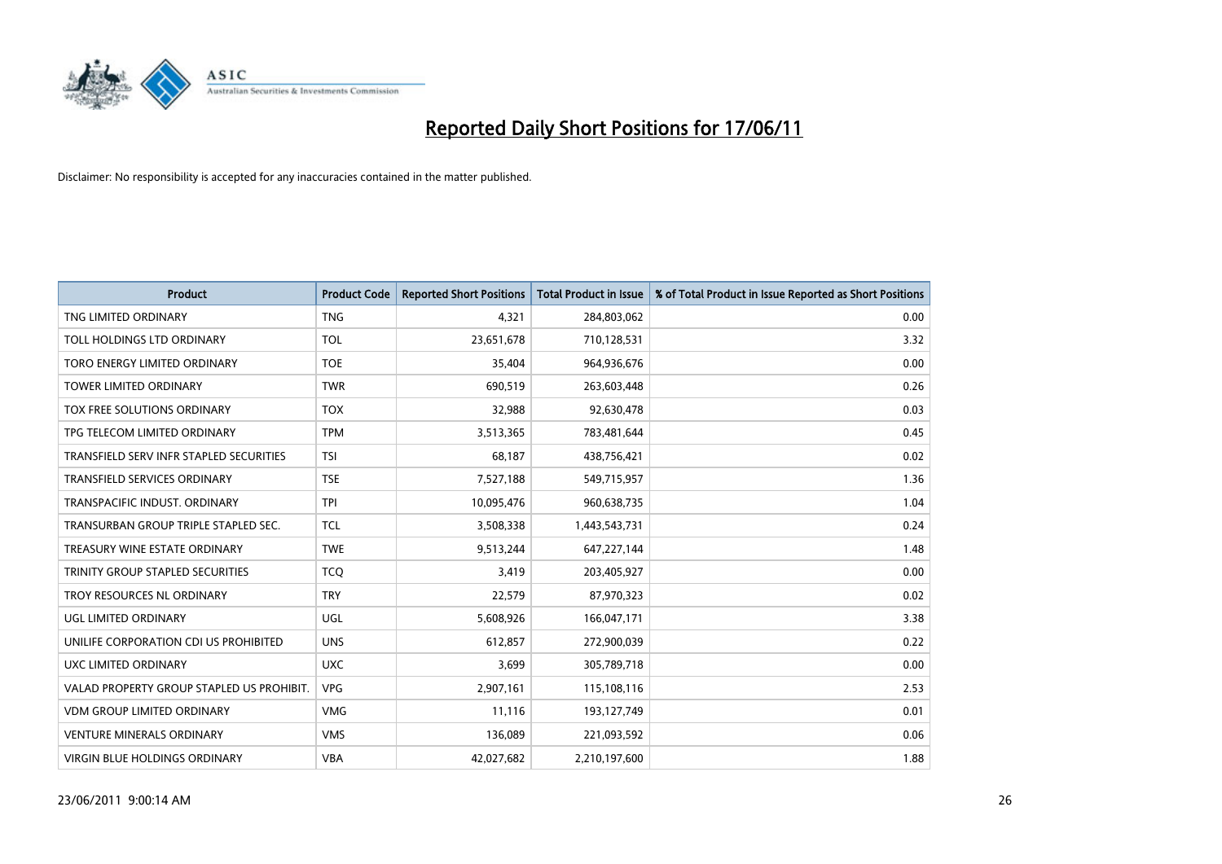

| <b>Product</b>                            | <b>Product Code</b> | <b>Reported Short Positions</b> | Total Product in Issue | % of Total Product in Issue Reported as Short Positions |
|-------------------------------------------|---------------------|---------------------------------|------------------------|---------------------------------------------------------|
| TNG LIMITED ORDINARY                      | <b>TNG</b>          | 4,321                           | 284,803,062            | 0.00                                                    |
| TOLL HOLDINGS LTD ORDINARY                | <b>TOL</b>          | 23,651,678                      | 710,128,531            | 3.32                                                    |
| TORO ENERGY LIMITED ORDINARY              | <b>TOE</b>          | 35,404                          | 964,936,676            | 0.00                                                    |
| TOWER LIMITED ORDINARY                    | <b>TWR</b>          | 690,519                         | 263,603,448            | 0.26                                                    |
| TOX FREE SOLUTIONS ORDINARY               | <b>TOX</b>          | 32,988                          | 92,630,478             | 0.03                                                    |
| TPG TELECOM LIMITED ORDINARY              | <b>TPM</b>          | 3,513,365                       | 783,481,644            | 0.45                                                    |
| TRANSFIELD SERV INFR STAPLED SECURITIES   | <b>TSI</b>          | 68,187                          | 438,756,421            | 0.02                                                    |
| TRANSFIELD SERVICES ORDINARY              | <b>TSE</b>          | 7,527,188                       | 549,715,957            | 1.36                                                    |
| TRANSPACIFIC INDUST, ORDINARY             | <b>TPI</b>          | 10,095,476                      | 960,638,735            | 1.04                                                    |
| TRANSURBAN GROUP TRIPLE STAPLED SEC.      | <b>TCL</b>          | 3,508,338                       | 1,443,543,731          | 0.24                                                    |
| TREASURY WINE ESTATE ORDINARY             | <b>TWE</b>          | 9,513,244                       | 647,227,144            | 1.48                                                    |
| TRINITY GROUP STAPLED SECURITIES          | <b>TCO</b>          | 3,419                           | 203,405,927            | 0.00                                                    |
| TROY RESOURCES NL ORDINARY                | <b>TRY</b>          | 22,579                          | 87,970,323             | 0.02                                                    |
| UGL LIMITED ORDINARY                      | UGL                 | 5,608,926                       | 166,047,171            | 3.38                                                    |
| UNILIFE CORPORATION CDI US PROHIBITED     | <b>UNS</b>          | 612,857                         | 272,900,039            | 0.22                                                    |
| UXC LIMITED ORDINARY                      | <b>UXC</b>          | 3,699                           | 305,789,718            | 0.00                                                    |
| VALAD PROPERTY GROUP STAPLED US PROHIBIT. | <b>VPG</b>          | 2,907,161                       | 115,108,116            | 2.53                                                    |
| <b>VDM GROUP LIMITED ORDINARY</b>         | <b>VMG</b>          | 11,116                          | 193,127,749            | 0.01                                                    |
| <b>VENTURE MINERALS ORDINARY</b>          | <b>VMS</b>          | 136,089                         | 221,093,592            | 0.06                                                    |
| VIRGIN BLUE HOLDINGS ORDINARY             | <b>VBA</b>          | 42,027,682                      | 2,210,197,600          | 1.88                                                    |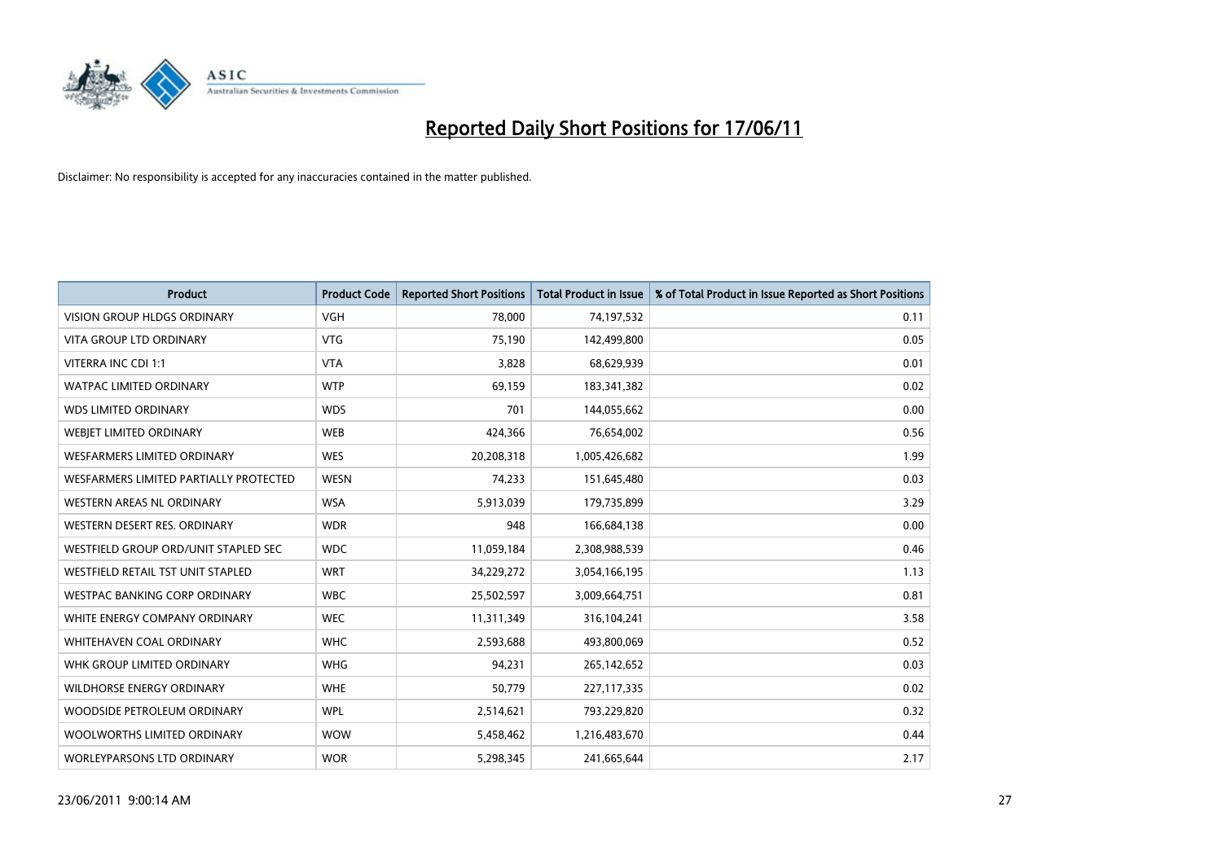

| Product                                  | <b>Product Code</b> | <b>Reported Short Positions</b> | <b>Total Product in Issue</b> | % of Total Product in Issue Reported as Short Positions |
|------------------------------------------|---------------------|---------------------------------|-------------------------------|---------------------------------------------------------|
| <b>VISION GROUP HLDGS ORDINARY</b>       | <b>VGH</b>          | 78,000                          | 74,197,532                    | 0.11                                                    |
| VITA GROUP LTD ORDINARY                  | <b>VTG</b>          | 75,190                          | 142,499,800                   | 0.05                                                    |
| VITERRA INC CDI 1:1                      | <b>VTA</b>          | 3,828                           | 68,629,939                    | 0.01                                                    |
| <b>WATPAC LIMITED ORDINARY</b>           | <b>WTP</b>          | 69,159                          | 183,341,382                   | 0.02                                                    |
| <b>WDS LIMITED ORDINARY</b>              | <b>WDS</b>          | 701                             | 144,055,662                   | 0.00                                                    |
| WEBJET LIMITED ORDINARY                  | <b>WEB</b>          | 424,366                         | 76,654,002                    | 0.56                                                    |
| <b>WESFARMERS LIMITED ORDINARY</b>       | <b>WES</b>          | 20,208,318                      | 1,005,426,682                 | 1.99                                                    |
| WESFARMERS LIMITED PARTIALLY PROTECTED   | <b>WESN</b>         | 74,233                          | 151,645,480                   | 0.03                                                    |
| <b>WESTERN AREAS NL ORDINARY</b>         | <b>WSA</b>          | 5,913,039                       | 179,735,899                   | 3.29                                                    |
| WESTERN DESERT RES. ORDINARY             | <b>WDR</b>          | 948                             | 166,684,138                   | 0.00                                                    |
| WESTFIELD GROUP ORD/UNIT STAPLED SEC     | <b>WDC</b>          | 11,059,184                      | 2,308,988,539                 | 0.46                                                    |
| <b>WESTFIELD RETAIL TST UNIT STAPLED</b> | <b>WRT</b>          | 34,229,272                      | 3,054,166,195                 | 1.13                                                    |
| WESTPAC BANKING CORP ORDINARY            | <b>WBC</b>          | 25,502,597                      | 3,009,664,751                 | 0.81                                                    |
| WHITE ENERGY COMPANY ORDINARY            | <b>WEC</b>          | 11,311,349                      | 316,104,241                   | 3.58                                                    |
| WHITEHAVEN COAL ORDINARY                 | <b>WHC</b>          | 2,593,688                       | 493,800,069                   | 0.52                                                    |
| WHK GROUP LIMITED ORDINARY               | <b>WHG</b>          | 94,231                          | 265,142,652                   | 0.03                                                    |
| WILDHORSE ENERGY ORDINARY                | <b>WHE</b>          | 50,779                          | 227,117,335                   | 0.02                                                    |
| WOODSIDE PETROLEUM ORDINARY              | <b>WPL</b>          | 2,514,621                       | 793,229,820                   | 0.32                                                    |
| WOOLWORTHS LIMITED ORDINARY              | <b>WOW</b>          | 5,458,462                       | 1,216,483,670                 | 0.44                                                    |
| <b>WORLEYPARSONS LTD ORDINARY</b>        | <b>WOR</b>          | 5,298,345                       | 241,665,644                   | 2.17                                                    |